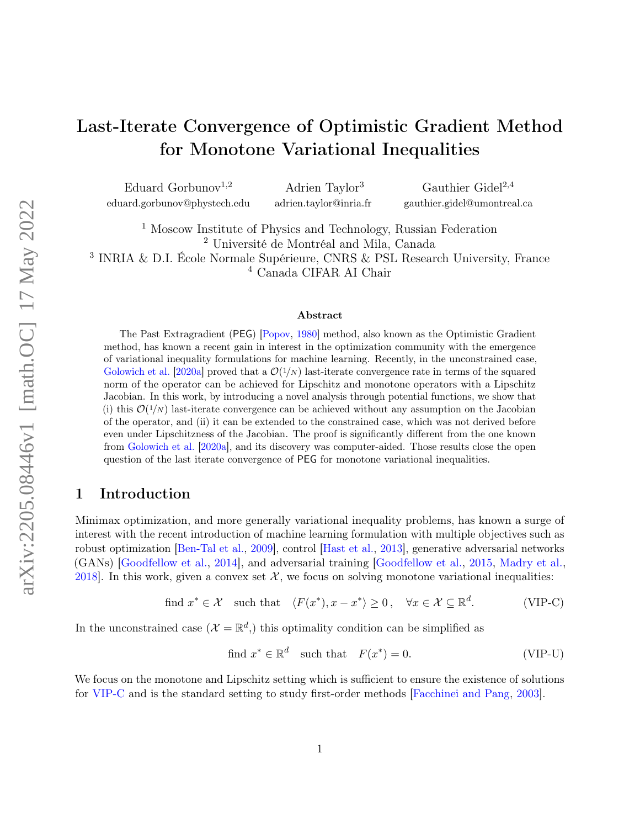# Last-Iterate Convergence of Optimistic Gradient Method for Monotone Variational Inequalities

Eduard Gorbunov<sup>1,2</sup> eduard.gorbunov@phystech.edu

Adrien Taylor<sup>3</sup> adrien.taylor@inria.fr

Gauthier Gidel $^{2,4}$ gauthier.gidel@umontreal.ca

 Moscow Institute of Physics and Technology, Russian Federation Université de Montréal and Mila, Canada INRIA & D.I. École Normale Supérieure, CNRS & PSL Research University, France Canada CIFAR AI Chair

#### Abstract

The Past Extragradient (PEG) [\[Popov,](#page-13-0) [1980\]](#page-13-0) method, also known as the Optimistic Gradient method, has known a recent gain in interest in the optimization community with the emergence of variational inequality formulations for machine learning. Recently, in the unconstrained case, [Golowich et al.](#page-12-0) [\[2020a\]](#page-12-0) proved that a  $\mathcal{O}(1/N)$  last-iterate convergence rate in terms of the squared norm of the operator can be achieved for Lipschitz and monotone operators with a Lipschitz Jacobian. In this work, by introducing a novel analysis through potential functions, we show that (i) this  $\mathcal{O}(1/N)$  last-iterate convergence can be achieved without any assumption on the Jacobian of the operator, and (ii) it can be extended to the constrained case, which was not derived before even under Lipschitzness of the Jacobian. The proof is significantly different from the one known from [Golowich et al.](#page-12-0) [\[2020a\]](#page-12-0), and its discovery was computer-aided. Those results close the open question of the last iterate convergence of PEG for monotone variational inequalities.

# <span id="page-0-1"></span>1 Introduction

Minimax optimization, and more generally variational inequality problems, has known a surge of interest with the recent introduction of machine learning formulation with multiple objectives such as robust optimization [\[Ben-Tal et al.,](#page-11-0) [2009\]](#page-11-0), control [\[Hast et al.,](#page-12-1) [2013\]](#page-12-1), generative adversarial networks (GANs) [\[Goodfellow et al.,](#page-12-2) [2014\]](#page-12-2), and adversarial training [\[Goodfellow et al.,](#page-12-3) [2015,](#page-12-3) [Madry et al.,](#page-13-1) [2018\]](#page-13-1). In this work, given a convex set  $\mathcal{X}$ , we focus on solving monotone variational inequalities:

find 
$$
x^* \in \mathcal{X}
$$
 such that  $\langle F(x^*), x - x^* \rangle \ge 0$ ,  $\forall x \in \mathcal{X} \subseteq \mathbb{R}^d$ . (VIP-C)

In the unconstrained case  $(\mathcal{X} = \mathbb{R}^d)$ , this optimality condition can be simplified as

<span id="page-0-0"></span>find 
$$
x^* \in \mathbb{R}^d
$$
 such that  $F(x^*) = 0$ . (VIP-U)

We focus on the monotone and Lipschitz setting which is sufficient to ensure the existence of solutions for [VIP-C](#page-0-0) and is the standard setting to study first-order methods [\[Facchinei and Pang,](#page-12-4) [2003\]](#page-12-4).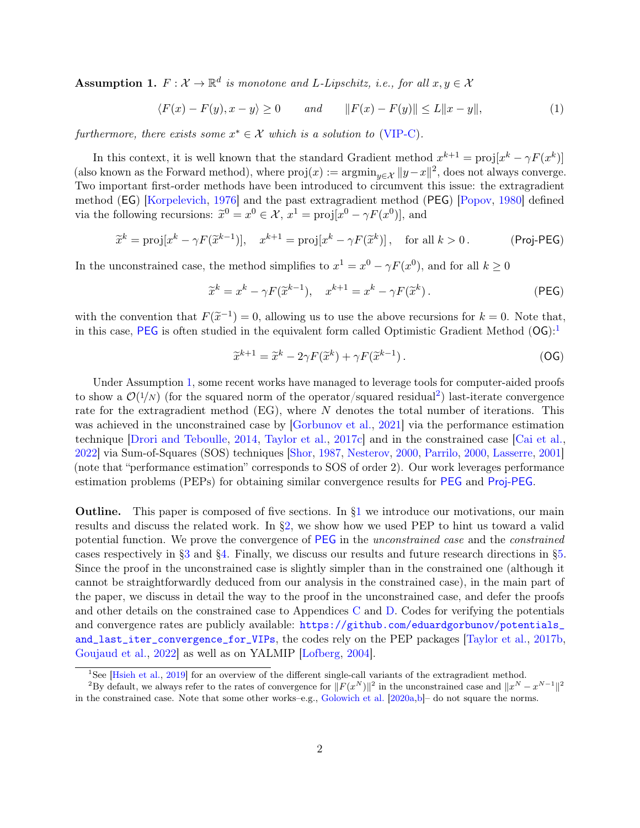<span id="page-1-2"></span>**Assumption 1.**  $F: \mathcal{X} \to \mathbb{R}^d$  is monotone and L-Lipschitz, i.e., for all  $x, y \in \mathcal{X}$ 

$$
\langle F(x) - F(y), x - y \rangle \ge 0 \qquad and \qquad ||F(x) - F(y)|| \le L||x - y||,\tag{1}
$$

furthermore, there exists some  $x^* \in \mathcal{X}$  which is a solution to [\(VIP-C\)](#page-0-0).

In this context, it is well known that the standard Gradient method  $x^{k+1} = \text{proj}[x^k - \gamma F(x^k)]$ (also known as the Forward method), where  $proj(x) := \operatorname{argmin}_{y \in \mathcal{X}} ||y - x||^2$ , does not always converge. Two important first-order methods have been introduced to circumvent this issue: the extragradient method (EG) [\[Korpelevich,](#page-12-5) [1976\]](#page-12-5) and the past extragradient method (PEG) [\[Popov,](#page-13-0) [1980\]](#page-13-0) defined via the following recursions:  $\tilde{x}^0 = x^0 \in \mathcal{X}, x^1 = \text{proj}[x^0 - \gamma F(x^0)],$  and

$$
\widetilde{x}^k = \text{proj}[x^k - \gamma F(\widetilde{x}^{k-1})], \quad x^{k+1} = \text{proj}[x^k - \gamma F(\widetilde{x}^k)], \quad \text{for all } k > 0. \tag{Proj-PEG}
$$

In the unconstrained case, the method simplifies to  $x^1 = x^0 - \gamma F(x^0)$ , and for all  $k \ge 0$ 

<span id="page-1-0"></span>
$$
\widetilde{x}^k = x^k - \gamma F(\widetilde{x}^{k-1}), \quad x^{k+1} = x^k - \gamma F(\widetilde{x}^k).
$$
 (PEG)

with the convention that  $F(\tilde{x}^{-1}) = 0$ , allowing us to use the above recursions for  $k = 0$ . Note that, in this case, **PEC** is often studied in the conjugant form salled Optimistic Cradient Method (**OC**).<sup>1</sup> in this case, [PEG](#page-1-0) is often studied in the equivalent form called Optimistic Gradient Method  $(\overline{OG})$ :

$$
\widetilde{x}^{k+1} = \widetilde{x}^k - 2\gamma F(\widetilde{x}^k) + \gamma F(\widetilde{x}^{k-1}).
$$
\n(OG)

Under Assumption [1,](#page-1-2) some recent works have managed to leverage tools for computer-aided proofs to show a  $\mathcal{O}(1/N)$  (for the squared norm of the operator/squared residual<sup>[2](#page-1-3)</sup>) last-iterate convergence rate for the extragradient method (EG), where N denotes the total number of iterations. This was achieved in the unconstrained case by [\[Gorbunov et al.,](#page-12-6) [2021\]](#page-12-6) via the performance estimation technique [\[Drori and Teboulle,](#page-12-7) [2014,](#page-12-7) [Taylor et al.,](#page-14-0) [2017c\]](#page-14-0) and in the constrained case [\[Cai et al.,](#page-11-1) [2022\]](#page-11-1) via Sum-of-Squares (SOS) techniques [\[Shor,](#page-13-2) [1987,](#page-13-2) [Nesterov,](#page-13-3) [2000,](#page-13-3) [Parrilo,](#page-13-4) [2000,](#page-13-4) [Lasserre,](#page-13-5) [2001\]](#page-13-5) (note that "performance estimation" corresponds to SOS of order 2). Our work leverages performance estimation problems (PEPs) for obtaining similar convergence results for [PEG](#page-1-0) and [Proj-PEG](#page-1-0).

**Outline.** This paper is composed of five sections. In  $\S1$  we introduce our motivations, our main results and discuss the related work. In [§2,](#page-4-0) we show how we used PEP to hint us toward a valid potential function. We prove the convergence of [PEG](#page-1-0) in the unconstrained case and the constrained cases respectively in [§3](#page-8-0) and [§4.](#page-10-0) Finally, we discuss our results and future research directions in [§5.](#page-11-2) Since the proof in the unconstrained case is slightly simpler than in the constrained one (although it cannot be straightforwardly deduced from our analysis in the constrained case), in the main part of the paper, we discuss in detail the way to the proof in the unconstrained case, and defer the proofs and other details on the constrained case to Appendices [C](#page-18-0) and [D.](#page-23-0) Codes for verifying the potentials and convergence rates are publicly available: [https://github.com/eduardgorbunov/potentials\\_](https://github.com/eduardgorbunov/potentials_and_last_iter_convergence_for_VIPs) [and\\_last\\_iter\\_convergence\\_for\\_VIPs](https://github.com/eduardgorbunov/potentials_and_last_iter_convergence_for_VIPs), the codes rely on the PEP packages [\[Taylor et al.,](#page-14-1) [2017b,](#page-14-1) [Goujaud et al.,](#page-12-8) [2022\]](#page-12-8) as well as on YALMIP [\[Lofberg,](#page-13-6) [2004\]](#page-13-6).

<span id="page-1-3"></span><span id="page-1-1"></span><sup>&</sup>lt;sup>1</sup>See [\[Hsieh et al.,](#page-12-9) [2019\]](#page-12-9) for an overview of the different single-call variants of the extragradient method.

<sup>&</sup>lt;sup>2</sup>By default, we always refer to the rates of convergence for  $||F(x^N)||^2$  in the unconstrained case and  $||x^N - x^{N-1}||^2$ in the constrained case. Note that some other works–e.g., [Golowich et al.](#page-12-0) [\[2020a,](#page-12-0)[b\]](#page-12-10)– do not square the norms.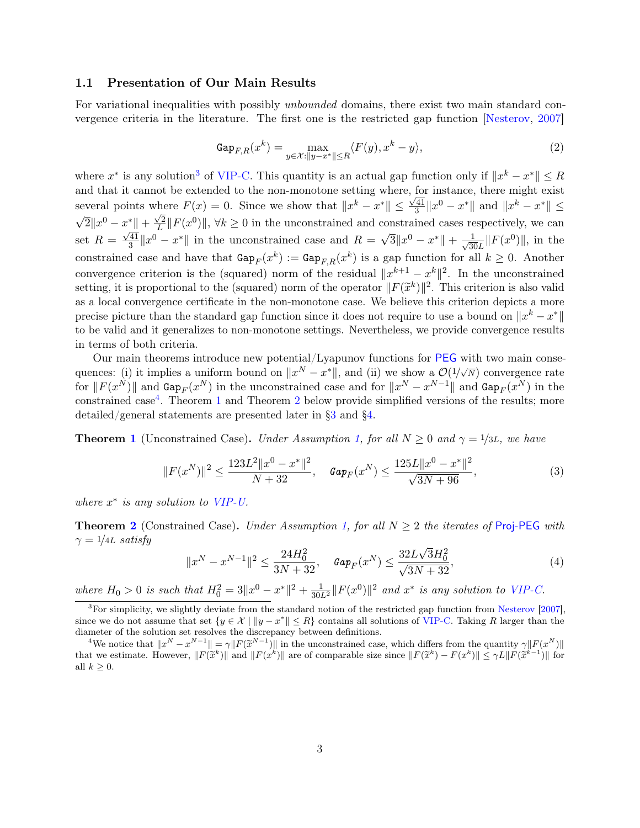#### 1.1 Presentation of Our Main Results

For variational inequalities with possibly *unbounded* domains, there exist two main standard convergence criteria in the literature. The first one is the restricted gap function [\[Nesterov,](#page-13-7) [2007\]](#page-13-7)

$$
\text{Gap}_{F,R}(x^k) = \max_{y \in \mathcal{X}: \|y - x^*\| \le R} \langle F(y), x^k - y \rangle,\tag{2}
$$

where  $x^*$  is any solution<sup>[3](#page-2-0)</sup> of [VIP-C.](#page-0-0) This quantity is an actual gap function only if  $||x^k - x^*|| \leq R$ and that it cannot be extended to the non-monotone setting where, for instance, there might exist several points where  $F(x) = 0$ . Since we show that  $||x^k - x^*|| \le \frac{\sqrt{41}}{3}$ where  $F(x) = 0$ . Since we show that  $||x^k - x^*|| \le \frac{\sqrt{41}}{3} ||x^0 - x^*||$  and  $||x^k - x^*|| \le$ √  $\overline{2}||x^0 - x^*|| + \frac{\sqrt{2}}{L}$  $\|x^*\| + \frac{\sqrt{2}}{L} \|F(x^0)\|, \forall k \ge 0$  in the unconstrained and constrained cases respectively, we can set  $R = \frac{\sqrt{41}}{3}$  $\frac{41}{3}||x^0 - x^*||$  in the unconstrained case and  $R = \sqrt{3}||x^0 - x^*|| + \frac{1}{\sqrt{3}}$  $\frac{1}{30L}||F(x^0)||$ , in the constrained case and have that  $\text{Gap}_F(x^k) := \text{Gap}_{F,R}(x^k)$  is a gap function for all  $k \geq 0$ . Another convergence criterion is the (squared) norm of the residual  $||x^{k+1} - x^k||^2$ . In the unconstrained setting, it is proportional to the (squared) norm of the operator  $||F(\tilde{x}^k)||^2$ . This criterion is also valid<br>as a local convergence certificate in the non-monotone asso. We believe this criterion depicts a more as a local convergence certificate in the non-monotone case. We believe this criterion depicts a more precise picture than the standard gap function since it does not require to use a bound on  $\|x^k - x^*\|$ to be valid and it generalizes to non-monotone settings. Nevertheless, we provide convergence results in terms of both criteria.

Our main theorems introduce new potential/Lyapunov functions for [PEG](#page-1-0) with two main consequences: (i) it implies a uniform bound on  $||x^N - x^*||$ , and (ii) we show a  $\mathcal{O}(1/\sqrt{N})$  convergence rate for  $||F(x^N)||$  and  $\text{Gap}_F(x^N)$  in the unconstrained case and for  $||x^N - x^{N-1}||$  and  $\text{Gap}_F(x^N)$  in the constrained case<sup>[4](#page-2-1)</sup>. Theorem [1](#page-9-0) and Theorem [2](#page-10-1) below provide simplified versions of the results; more detailed/general statements are presented later in [§3](#page-8-0) and [§4.](#page-10-0)

**Theorem [1](#page-9-0)** (Unconstrained Case). Under Assumption [1,](#page-1-2) for all  $N \geq 0$  and  $\gamma = 1/3L$ , we have

$$
||F(x^N)||^2 \le \frac{123L^2||x^0 - x^*||^2}{N + 32}, \quad \text{Gap}_F(x^N) \le \frac{125L||x^0 - x^*||^2}{\sqrt{3N + 96}},\tag{3}
$$

where  $x^*$  is any solution to [VIP-U.](#page-0-0)

**Theorem [2](#page-10-1)** (Constrained Case). Under Assumption [1,](#page-1-2) for all  $N \geq 2$  the iterates of [Proj-PEG](#page-1-0) with  $\gamma = 1/4L$  satisfy √

$$
||x^{N} - x^{N-1}||^{2} \le \frac{24H_{0}^{2}}{3N + 32}, \quad \text{Gap}_{F}(x^{N}) \le \frac{32L\sqrt{3}H_{0}^{2}}{\sqrt{3N + 32}},\tag{4}
$$

where  $H_0 > 0$  is such that  $H_0^2 = 3||x^0 - x^*||^2 + \frac{1}{30L^2}||F(x^0)||^2$  and  $x^*$  is any solution to [VIP-C.](#page-0-0)

<span id="page-2-0"></span><sup>3</sup>For simplicity, we slightly deviate from the standard notion of the restricted gap function from [Nesterov](#page-13-7) [\[2007\]](#page-13-7), since we do not assume that set  $\{y \in \mathcal{X} \mid ||y - x^*|| \leq R\}$  contains all solutions of [VIP-C.](#page-0-0) Taking R larger than the diameter of the solution set resolves the discrepancy between definitions.

<span id="page-2-1"></span>We notice that  $||x^N - x^{N-1}|| = \gamma ||F(\tilde{x}^{N-1})||$  in the unconstrained case, which differs from the quantity  $\gamma ||F(x^N)||$ <br>t we estimate. However,  $||E(\tilde{x}^k)||$  and  $||F(x^k)||$  are of comparable size since  $||E(\tilde{x}^k) - E(x^k)|| \le \gamma ||E(\tilde$ that we estimate. However,  $||F(\tilde{x}^k)||$  and  $||F(x^k)||$  are of comparable size since  $||F(\tilde{x}^k) - F(x^k)|| \le \gamma L ||F(\tilde{x}^{k-1})||$  for all  $k \geq 0$ .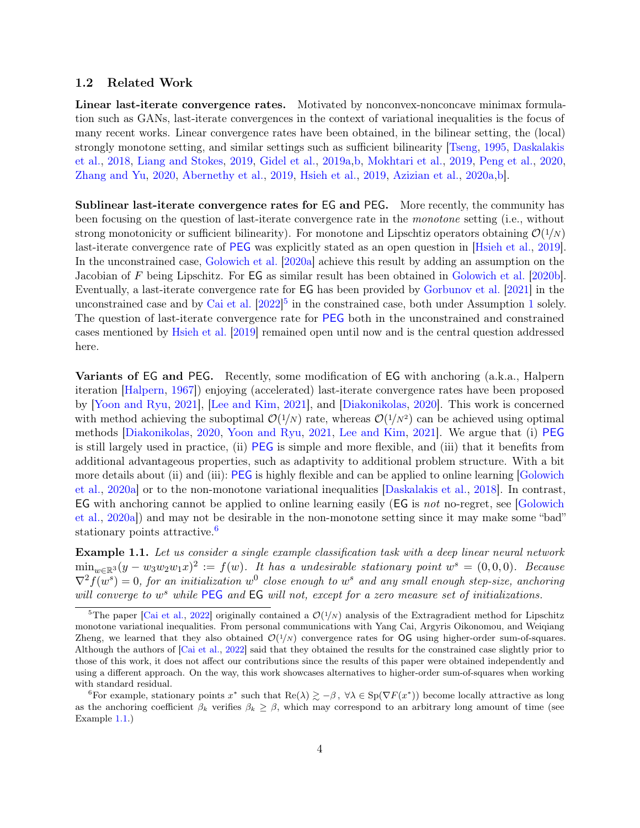#### 1.2 Related Work

Linear last-iterate convergence rates. Motivated by nonconvex-nonconcave minimax formulation such as GANs, last-iterate convergences in the context of variational inequalities is the focus of many recent works. Linear convergence rates have been obtained, in the bilinear setting, the (local) strongly monotone setting, and similar settings such as sufficient bilinearity [\[Tseng,](#page-14-2) [1995,](#page-14-2) [Daskalakis](#page-11-3) [et al.,](#page-11-3) [2018,](#page-11-3) [Liang and Stokes,](#page-13-8) [2019,](#page-13-8) [Gidel et al.,](#page-12-11) [2019a,](#page-12-11)[b,](#page-12-12) [Mokhtari et al.,](#page-13-9) [2019,](#page-13-9) [Peng et al.,](#page-13-10) [2020,](#page-13-10) [Zhang and Yu,](#page-14-3) [2020,](#page-14-3) [Abernethy et al.,](#page-11-4) [2019,](#page-11-4) [Hsieh et al.,](#page-12-9) [2019,](#page-12-9) [Azizian et al.,](#page-11-5) [2020a,](#page-11-5)[b\]](#page-11-6).

Sublinear last-iterate convergence rates for EG and PEG. More recently, the community has been focusing on the question of last-iterate convergence rate in the monotone setting (i.e., without strong monotonicity or sufficient bilinearity). For monotone and Lipschtiz operators obtaining  $\mathcal{O}(1/N)$ last-iterate convergence rate of [PEG](#page-1-0) was explicitly stated as an open question in [\[Hsieh et al.,](#page-12-9) [2019\]](#page-12-9). In the unconstrained case, [Golowich et al.](#page-12-0) [\[2020a\]](#page-12-0) achieve this result by adding an assumption on the Jacobian of F being Lipschitz. For EG as similar result has been obtained in [Golowich et al.](#page-12-10) [\[2020b\]](#page-12-10). Eventually, a last-iterate convergence rate for EG has been provided by [Gorbunov et al.](#page-12-6) [\[2021\]](#page-12-6) in the unconstrained case and by [Cai et al.](#page-11-1)  $[2022]$ <sup>[5](#page-3-0)</sup> in the constrained case, both under Assumption [1](#page-1-2) solely. The question of last-iterate convergence rate for [PEG](#page-1-0) both in the unconstrained and constrained cases mentioned by [Hsieh et al.](#page-12-9) [\[2019\]](#page-12-9) remained open until now and is the central question addressed here.

Variants of EG and PEG. Recently, some modification of EG with anchoring (a.k.a., Halpern iteration [\[Halpern,](#page-12-13) [1967\]](#page-12-13)) enjoying (accelerated) last-iterate convergence rates have been proposed by [\[Yoon and Ryu,](#page-14-4) [2021\]](#page-14-4), [\[Lee and Kim,](#page-13-11) [2021\]](#page-13-11), and [\[Diakonikolas,](#page-11-7) [2020\]](#page-11-7). This work is concerned with method achieving the suboptimal  $\mathcal{O}(1/N)$  rate, whereas  $\mathcal{O}(1/N^2)$  can be achieved using optimal methods [\[Diakonikolas,](#page-11-7) [2020,](#page-11-7) [Yoon and Ryu,](#page-14-4) [2021,](#page-14-4) [Lee and Kim,](#page-13-11) [2021\]](#page-13-11). We argue that (i) [PEG](#page-1-0) is still largely used in practice, (ii) [PEG](#page-1-0) is simple and more flexible, and (iii) that it benefits from additional advantageous properties, such as adaptivity to additional problem structure. With a bit more details about (ii) and (iii): [PEG](#page-1-0) is highly flexible and can be applied to online learning [\[Golowich](#page-12-0) [et al.,](#page-12-0) [2020a\]](#page-12-0) or to the non-monotone variational inequalities [\[Daskalakis et al.,](#page-11-3) [2018\]](#page-11-3). In contrast, EG with anchoring cannot be applied to online learning easily (EG is not no-regret, see [\[Golowich](#page-12-0) [et al.,](#page-12-0) [2020a\]](#page-12-0)) and may not be desirable in the non-monotone setting since it may make some "bad" stationary points attractive. $\frac{6}{5}$  $\frac{6}{5}$  $\frac{6}{5}$ 

<span id="page-3-2"></span>Example 1.1. Let us consider a single example classification task with a deep linear neural network  $\min_{w \in \mathbb{R}^3}(y - w_3w_2w_1x)^2 := f(w)$ . It has a undesirable stationary point  $w^s = (0,0,0)$ . Because  $\nabla^2 f(w^s) = 0$ , for an initialization  $w^0$  close enough to  $w^s$  and any small enough step-size, anchoring will converge to  $w^s$  while [PEG](#page-1-0) and EG will not, except for a zero measure set of initializations.

<span id="page-3-1"></span><sup>6</sup>For example, stationary points x<sup>\*</sup> such that Re( $\lambda$ )  $\geq -\beta$ ,  $\forall \lambda \in Sp(\nabla F(x^*))$  become locally attractive as long as the anchoring coefficient  $\beta_k$  verifies  $\beta_k \geq \beta$ , which may correspond to an arbitrary long amount of time (see Example [1.1.](#page-3-2))

<span id="page-3-0"></span><sup>&</sup>lt;sup>5</sup>The paper [\[Cai et al.,](#page-11-1) [2022\]](#page-11-1) originally contained a  $\mathcal{O}(1/N)$  analysis of the Extragradient method for Lipschitz monotone variational inequalities. From personal communications with Yang Cai, Argyris Oikonomou, and Weiqiang Zheng, we learned that they also obtained  $\mathcal{O}(1/N)$  convergence rates for OG using higher-order sum-of-squares. Although the authors of [\[Cai et al.,](#page-11-1) [2022\]](#page-11-1) said that they obtained the results for the constrained case slightly prior to those of this work, it does not affect our contributions since the results of this paper were obtained independently and using a different approach. On the way, this work showcases alternatives to higher-order sum-of-squares when working with standard residual.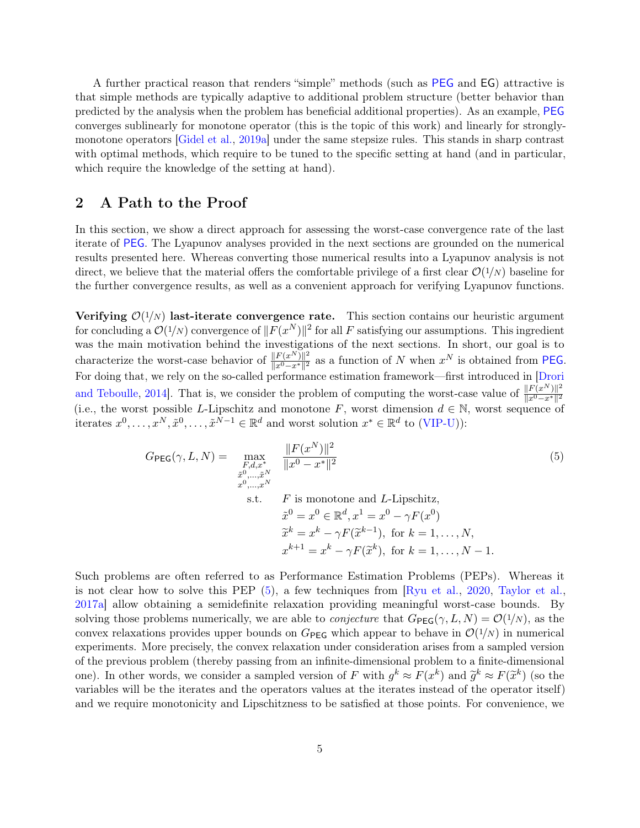A further practical reason that renders "simple" methods (such as [PEG](#page-1-0) and EG) attractive is that simple methods are typically adaptive to additional problem structure (better behavior than predicted by the analysis when the problem has beneficial additional properties). As an example, [PEG](#page-1-0) converges sublinearly for monotone operator (this is the topic of this work) and linearly for stronglymonotone operators [\[Gidel et al.,](#page-12-11) [2019a\]](#page-12-11) under the same stepsize rules. This stands in sharp contrast with optimal methods, which require to be tuned to the specific setting at hand (and in particular, which require the knowledge of the setting at hand).

## <span id="page-4-0"></span>2 A Path to the Proof

In this section, we show a direct approach for assessing the worst-case convergence rate of the last iterate of [PEG](#page-1-0). The Lyapunov analyses provided in the next sections are grounded on the numerical results presented here. Whereas converting those numerical results into a Lyapunov analysis is not direct, we believe that the material offers the comfortable privilege of a first clear  $\mathcal{O}(1/N)$  baseline for the further convergence results, as well as a convenient approach for verifying Lyapunov functions.

Verifying  $\mathcal{O}(1/N)$  last-iterate convergence rate. This section contains our heuristic argument for concluding a  $\mathcal{O}(1/N)$  convergence of  $||F(x^N)||^2$  for all F satisfying our assumptions. This ingredient was the main motivation behind the investigations of the next sections. In short, our goal is to characterize the worst-case behavior of  $\frac{\|F(x^N)\|^2}{\|x^0-x^*\|^2}$  $\frac{\|F(x^N)\|^2}{\|x^0-x^*\|^2}$  as a function of N when  $x^N$  is obtained from [PEG](#page-1-0). For doing that, we rely on the so-called performance estimation framework—first introduced in [\[Drori](#page-12-7) [and Teboulle,](#page-12-7) 2014. That is, we consider the problem of computing the worst-case value of  $\frac{\|F(x^N)\|^2}{\|x^0-x^*\|^2}$  $||x^0 - x^*||^2$ (i.e., the worst possible L-Lipschitz and monotone F, worst dimension  $d \in \mathbb{N}$ , worst sequence of iterates  $x^0, \ldots, x^N, \tilde{x}^0, \ldots, \tilde{x}^{N-1} \in \mathbb{R}^d$  and worst solution  $x^* \in \mathbb{R}^d$  to [\(VIP-U\)](#page-0-0)):

<span id="page-4-1"></span>
$$
G_{\text{PEG}}(\gamma, L, N) = \max_{\substack{F,d,x^* \\ \tilde{x}^0, \dots, \tilde{x}^N \\ x^0, \dots, x^N}} \frac{\|F(x^N)\|^2}{\|x^0 - x^*\|^2}
$$
(5)  
s.t.  $F$  is monotone and  $L$ -Lipschitz,  

$$
\tilde{x}^0 = x^0 \in \mathbb{R}^d, x^1 = x^0 - \gamma F(x^0)
$$

$$
\tilde{x}^k = x^k - \gamma F(\tilde{x}^{k-1}), \text{ for } k = 1, \dots, N,
$$

$$
x^{k+1} = x^k - \gamma F(\tilde{x}^k), \text{ for } k = 1, \dots, N - 1.
$$

Such problems are often referred to as Performance Estimation Problems (PEPs). Whereas it is not clear how to solve this PEP [\(5\)](#page-4-1), a few techniques from [\[Ryu et al.,](#page-13-12) [2020,](#page-13-12) [Taylor et al.,](#page-13-13) [2017a\]](#page-13-13) allow obtaining a semidefinite relaxation providing meaningful worst-case bounds. By solving those problems numerically, we are able to *conjecture* that  $G_{\text{PEG}}(\gamma, L, N) = \mathcal{O}(1/N)$ , as the convex relaxations provides upper bounds on  $G_{\text{PEG}}$  which appear to behave in  $\mathcal{O}(1/N)$  in numerical experiments. More precisely, the convex relaxation under consideration arises from a sampled version of the previous problem (thereby passing from an infinite-dimensional problem to a finite-dimensional one). In other words, we consider a sampled version of F with  $g^k \approx F(x^k)$  and  $\tilde{g}^k \approx F(\tilde{x}^k)$  (so the unriples will be the iterates and the eperators values at the iterates instead of the eperator iterate variables will be the iterates and the operators values at the iterates instead of the operator itself) and we require monotonicity and Lipschitzness to be satisfied at those points. For convenience, we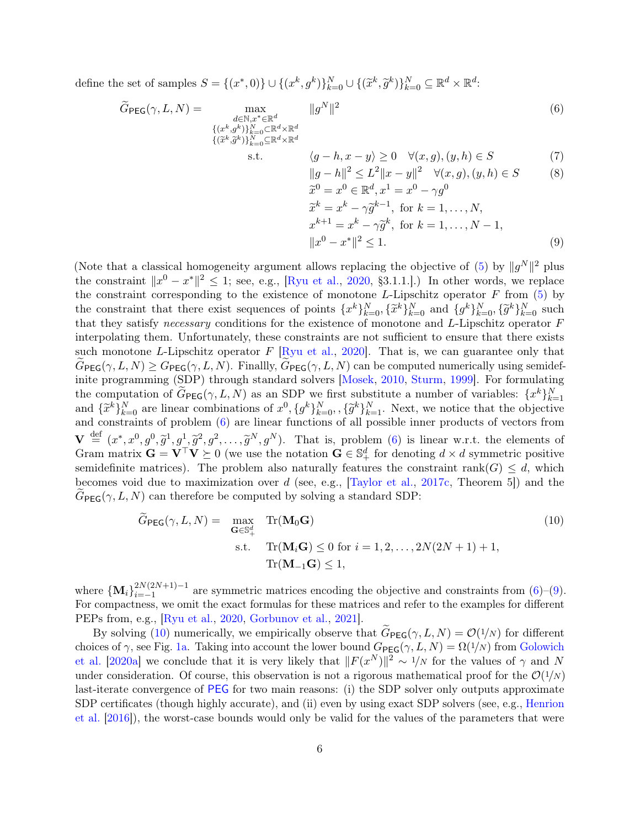define the set of samples  $S = \{(x^*,0)\} \cup \{(x^k, g^k)\}_{k=0}^N \cup \{(\widetilde{x}^k, \widetilde{g}^k)\}_{k=0}^N \subseteq \mathbb{R}^d \times \mathbb{R}^d$ :

<span id="page-5-0"></span>
$$
\widetilde{G}_{\text{PEG}}(\gamma, L, N) = \max_{\substack{d \in \mathbb{N}, x^* \in \mathbb{R}^d \\ \{(x^k, g^k)\}_{k=0}^N \subset \mathbb{R}^d \times \mathbb{R}^d \\ \{(\widetilde{x}^k, \widetilde{g}^k)\}_{k=0}^N \subseteq \mathbb{R}^d \times \mathbb{R}^d}} \|g^N\|^2
$$
\n(6)

s.t. 
$$
\langle g-h, x-y \rangle \ge 0 \quad \forall (x, g), (y, h) \in S
$$
 (7)

$$
||g - h||2 \le L2 ||x - y||2 \quad \forall (x, g), (y, h) \in S
$$
 (8)  

$$
\tilde{x}^{0} = x^{0} \in \mathbb{R}^{d}, x^{1} = x^{0} - \gamma g^{0}
$$

$$
\widetilde{x}^{0} = x^{0} \in \mathbb{R}^{d}, x^{1} = x^{0} - \gamma g^{0}
$$
\n
$$
\widetilde{x}^{k} = x^{k} - \gamma \widetilde{g}^{k-1}, \text{ for } k = 1, ..., N,
$$
\n
$$
x^{k+1} = x^{k} - \gamma \widetilde{g}^{k}, \text{ for } k = 1, ..., N - 1,
$$
\n
$$
||x^{0} - x^{*}||^{2} \leq 1.
$$
\n(9)

(Note that a classical homogeneity argument allows replacing the objective of [\(5\)](#page-4-1) by  $||g^N||^2$  plus the constraint  $||x^0 - x^*||^2 \le 1$ ; see, e.g., [\[Ryu et al.,](#page-13-12) [2020,](#page-13-12) §3.1.1.].) In other words, we replace the constraint corresponding to the existence of monotone L-Lipschitz operator  $F$  from  $(5)$  by the constraint that there exist sequences of points  $\{x^k\}_{k=0}^N$ ,  $\{\tilde{x}^k\}_{k=0}^N$  and  $\{g^k\}_{k=0}^N$ ,  $\{\tilde{g}^k\}_{k=0}^N$  such that they exists accessory conditions for the evitance of monotone and L Uncobitation c that they satisfy necessary conditions for the existence of monotone and L-Lipschitz operator F interpolating them. Unfortunately, these constraints are not sufficient to ensure that there exists such monotone L-Lipschitz operator  $F$  [\[Ryu et al.,](#page-13-12) [2020\]](#page-13-12). That is, we can guarantee only that  $G_{\text{PEG}}(\gamma, L, N) \geq G_{\text{PEG}}(\gamma, L, N)$ . Finallly,  $G_{\text{PEG}}(\gamma, L, N)$  can be computed numerically using semidefinite programming (SDP) through standard solvers [\[Mosek,](#page-13-14) [2010,](#page-13-14) [Sturm,](#page-13-15) [1999\]](#page-13-15). For formulating the computation of  $\tilde{G}_{\text{PEG}}(\gamma, L, N)$  as an SDP we first substitute a number of variables:  $\{x^k\}_{k=1}^N$ <br>and  $\{\tilde{x}^k\}_{k=0}^N$  are linear combinations of  $x^0$ ,  $\{g^k\}_{k=0}^N$ ,  $\{\tilde{g}^k\}_{k=1}^N$ . Next, we notice t and constraints of problem [\(6\)](#page-5-0) are linear functions of all possible inner products of vectors from  $\mathbf{V} \stackrel{\text{def}}{=} (x^*, x^0, g^0, \tilde{g}^1, g^1, \tilde{g}^2, g^2, \dots, \tilde{g}^N, g^N)$ . That is, problem [\(6\)](#page-5-0) is linear w.r.t. the elements of Grom metric  $\mathbf{C} = \mathbf{V}^\top \mathbf{V} \geq 0$  (we use the potation  $\mathbf{C} \in \mathbb{S}^d$  for denoting Gram matrix  $\mathbf{G} = \mathbf{V}^\top \mathbf{V} \succeq 0$  (we use the notation  $\mathbf{G} \in \mathbb{S}^d_+$  for denoting  $d \times d$  symmetric positive semidefinite matrices). The problem also naturally features the constraint rank( $G$ )  $\leq d$ , which becomes void due to maximization over  $d$  (see, e.g., [\[Taylor et al.,](#page-14-0) [2017c,](#page-14-0) Theorem 5]) and the  $G_{\text{PEG}}(\gamma, L, N)$  can therefore be computed by solving a standard SDP:

<span id="page-5-1"></span>
$$
\widetilde{G}_{\text{PEG}}(\gamma, L, N) = \max_{\mathbf{G} \in \mathbb{S}_+^d} \text{Tr}(\mathbf{M}_0 \mathbf{G})
$$
\n
$$
\text{s.t.} \quad \text{Tr}(\mathbf{M}_i \mathbf{G}) \le 0 \text{ for } i = 1, 2, \dots, 2N(2N + 1) + 1,
$$
\n
$$
\text{Tr}(\mathbf{M}_{-1} \mathbf{G}) \le 1,
$$
\n(10)

where  ${\bf\{M_i\}}_{i=-1}^{2N(2N+1)-1}$  $\sum_{i=-1}^{2N(2N+1)-1}$  are symmetric matrices encoding the objective and constraints from [\(6\)](#page-5-0)–[\(9\)](#page-5-0). For compactness, we omit the exact formulas for these matrices and refer to the examples for different PEPs from, e.g., [\[Ryu et al.,](#page-13-12) [2020,](#page-13-12) [Gorbunov et al.,](#page-12-6) [2021\]](#page-12-6).

By solving [\(10\)](#page-5-1) numerically, we empirically observe that  $G_{\text{PEG}}(\gamma, L, N) = \mathcal{O}(1/N)$  for different choices of  $\gamma$ , see Fig. [1a.](#page-6-0) Taking into account the lower bound  $G_{\text{PEG}}(\gamma, L, N) = \Omega(1/N)$  from [Golowich](#page-12-0) [et al.](#page-12-0) [\[2020a\]](#page-12-0) we conclude that it is very likely that  $||F(x^N)||^2 \sim 1/N$  for the values of  $\gamma$  and N under consideration. Of course, this observation is not a rigorous mathematical proof for the  $\mathcal{O}(1/N)$ last-iterate convergence of [PEG](#page-1-0) for two main reasons: (i) the SDP solver only outputs approximate SDP certificates (though highly accurate), and (ii) even by using exact SDP solvers (see, e.g., [Henrion](#page-12-14) [et al.](#page-12-14) [\[2016\]](#page-12-14)), the worst-case bounds would only be valid for the values of the parameters that were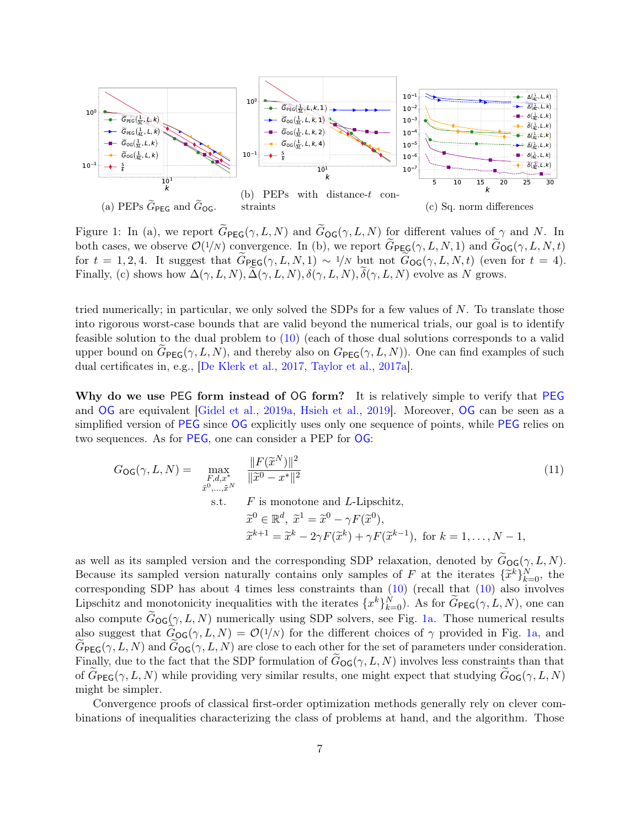<span id="page-6-0"></span>

Figure 1: In (a), we report  $\widetilde{G}_{\text{PEG}}(\gamma, L, N)$  and  $\widetilde{G}_{\text{OG}}(\gamma, L, N)$  for different values of  $\gamma$  and N. In both cases, we observe  $\mathcal{O}(1/N)$  convergence. In (b), we report  $\widetilde{G}_{\text{PEG}}(\gamma, L, N, 1)$  and  $\widetilde{G}_{\text{OG}}(\gamma, L, N, t)$ for  $t = 1, 2, 4$ . It suggest that  $G_{\text{PEG}}(\gamma, L, N, 1) \sim 1/N$  but not  $G_{\text{OG}}(\gamma, L, N, t)$  (even for  $t = 4$ ). Finally, (c) shows how  $\Delta(\gamma, L, N), \Delta(\gamma, L, N), \delta(\gamma, L, N), \delta(\gamma, L, N)$  evolve as N grows.

tried numerically; in particular, we only solved the SDPs for a few values of  $N$ . To translate those into rigorous worst-case bounds that are valid beyond the numerical trials, our goal is to identify feasible solution to the dual problem to [\(10\)](#page-5-1) (each of those dual solutions corresponds to a valid upper bound on  $G_{\text{PEG}}(\gamma, L, N)$ , and thereby also on  $G_{\text{PEG}}(\gamma, L, N)$ ). One can find examples of such dual certificates in, e.g., [\[De Klerk et al.,](#page-11-8) [2017,](#page-11-8) [Taylor et al.,](#page-13-13) [2017a\]](#page-13-13).

Why do we use [PEG](#page-1-0) form instead of OG form? It is relatively simple to verify that PEG and [OG](#page-1-0) are equivalent [\[Gidel et al.,](#page-12-11) [2019a,](#page-12-11) [Hsieh et al.,](#page-12-9) [2019\]](#page-12-9). Moreover, [OG](#page-1-0) can be seen as a simplified version of [PEG](#page-1-0) since [OG](#page-1-0) explicitly uses only one sequence of points, while [PEG](#page-1-0) relies on two sequences. As for [PEG](#page-1-0), one can consider a PEP for [OG](#page-1-0):

$$
G_{\text{OG}}(\gamma, L, N) = \max_{\substack{F, d, x^* \\ \tilde{x}^0, \dots, \tilde{x}^N}} \frac{\|F(\tilde{x}^N)\|^2}{\|\tilde{x}^0 - x^*\|^2}
$$
(11)  
s.t.  $F$  is monotone and  $L$ -Lipschitz,  

$$
\tilde{x}^0 \in \mathbb{R}^d, \ \tilde{x}^1 = \tilde{x}^0 - \gamma F(\tilde{x}^0),
$$

$$
\tilde{x}^{k+1} = \tilde{x}^k - 2\gamma F(\tilde{x}^k) + \gamma F(\tilde{x}^{k-1}), \text{ for } k = 1, \dots, N - 1,
$$

as well as its sampled version and the corresponding SDP relaxation, denoted by  $G_{\text{OG}}(\gamma, L, N)$ . Because its sampled version naturally contains only samples of F at the iterates  $\{\tilde{x}^k\}_{k=0}^N$ , the corresponding SDB has about 4 times less constraints than (10) (recall that (10) also involved corresponding SDP has about 4 times less constraints than [\(10\)](#page-5-1) (recall that [\(10\)](#page-5-1) also involves Lipschitz and monotonicity inequalities with the iterates  $\{x^k\}_{k=0}^N$ ). As for  $\widetilde{G}_{\textsf{PEG}}(\gamma, L, N)$ , one can also compute  $G_{\text{OG}}(\gamma, L, N)$  numerically using SDP solvers, see Fig. [1a.](#page-6-0) Those numerical results also suggest that  $G_{\text{OG}}(\gamma, L, N) = \mathcal{O}(1/N)$  for the different choices of  $\gamma$  provided in Fig. [1a,](#page-6-0) and  $G_{\text{PEG}}(\gamma, L, N)$  and  $G_{\text{OG}}(\gamma, L, N)$  are close to each other for the set of parameters under consideration. Finally, due to the fact that the SDP formulation of  $G_{\text{OG}}(\gamma, L, N)$  involves less constraints than that of  $G_{\text{PEG}}(\gamma, L, N)$  while providing very similar results, one might expect that studying  $G_{\text{OG}}(\gamma, L, N)$ might be simpler.

Convergence proofs of classical first-order optimization methods generally rely on clever combinations of inequalities characterizing the class of problems at hand, and the algorithm. Those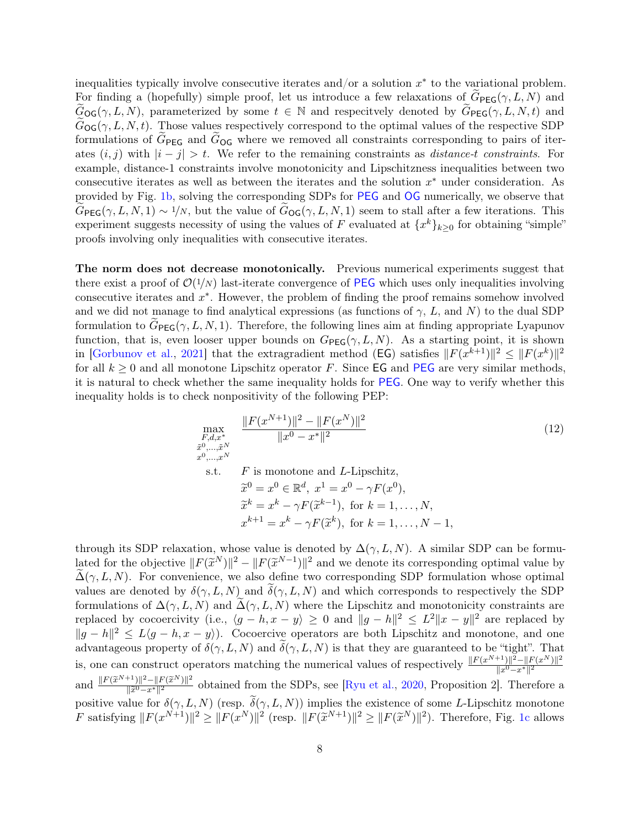inequalities typically involve consecutive iterates and/or a solution  $x^*$  to the variational problem. For finding a (hopefully) simple proof, let us introduce a few relaxations of  $G_{\text{PEG}}(\gamma, L, N)$  and  $G_{\text{OG}}(\gamma, L, N)$ , parameterized by some  $t \in \mathbb{N}$  and respecitvely denoted by  $G_{\text{PEG}}(\gamma, L, N, t)$  and  $G_{\text{OG}}(\gamma, L, N, t)$ . Those values respectively correspond to the optimal values of the respective SDP formulations of  $\tilde{G}_{\text{PEG}}$  and  $\tilde{G}_{\text{OG}}$  where we removed all constraints corresponding to pairs of iterates  $(i, j)$  with  $|i - j| > t$ . We refer to the remaining constraints as *distance-t constraints*. For example, distance-1 constraints involve monotonicity and Lipschitzness inequalities between two consecutive iterates as well as between the iterates and the solution  $x^*$  under consideration. As provided by Fig. [1b,](#page-6-0) solving the corresponding SDPs for [PEG](#page-1-0) and [OG](#page-1-0) numerically, we observe that  $\widetilde{G}_{\text{PEG}}(\gamma, L, N, 1) \sim 1/N$ , but the value of  $\widetilde{G}_{\text{OG}}(\gamma, L, N, 1)$  seem to stall after a few iterations. This experiment suggests necessity of using the values of F evaluated at  $\{x^k\}_{k\geq 0}$  for obtaining "simple" proofs involving only inequalities with consecutive iterates.

The norm does not decrease monotonically. Previous numerical experiments suggest that there exist a proof of  $\mathcal{O}(1/N)$  last-iterate convergence of [PEG](#page-1-0) which uses only inequalities involving consecutive iterates and  $x^*$ . However, the problem of finding the proof remains somehow involved and we did not manage to find analytical expressions (as functions of  $\gamma$ , L, and N) to the dual SDP formulation to  $G_{\text{PEG}}(\gamma, L, N, 1)$ . Therefore, the following lines aim at finding appropriate Lyapunov function, that is, even looser upper bounds on  $G_{\text{PEG}}(\gamma, L, N)$ . As a starting point, it is shown in [\[Gorbunov et al.,](#page-12-6) [2021\]](#page-12-6) that the extragradient method (EG) satisfies  $||F(x^{k+1})||^2 \leq ||F(x^k)||^2$ for all  $k \geq 0$  and all monotone Lipschitz operator F. Since **EG** and **[PEG](#page-1-0)** are very similar methods, it is natural to check whether the same inequality holds for [PEG](#page-1-0). One way to verify whether this inequality holds is to check nonpositivity of the following PEP:

$$
\max_{\substack{F,d,x^* \\ \tilde{x}^0,\ldots,\tilde{x}^N \\ x^0,\ldots,x^N}} \frac{\|F(x^{N+1})\|^2 - \|F(x^N)\|^2}{\|x^0 - x^*\|^2}
$$
\n
$$
(12)
$$
\n
$$
\sum_{x^0,\ldots,x^N}^{x^0,\ldots,\tilde{x}^N} F
$$
\nis monotone and *L*-Lipschitz,

\n
$$
\widetilde{x}^0 = x^0 \in \mathbb{R}^d, \ x^1 = x^0 - \gamma F(x^0),
$$
\n
$$
\widetilde{x}^k = x^k - \gamma F(\widetilde{x}^{k-1}), \text{ for } k = 1, \ldots, N,
$$
\n
$$
x^{k+1} = x^k - \gamma F(\widetilde{x}^k), \text{ for } k = 1, \ldots, N-1,
$$
\n(12)

through its SDP relaxation, whose value is denoted by  $\Delta(\gamma, L, N)$ . A similar SDP can be formulated for the objective  $||F(\tilde{x}^{N})||^2 - ||F(\tilde{x}^{N-1})||^2$  and we denote its corresponding optimal value by  $\tilde{\lambda}(\alpha, L, N)$ . For convenience, we also define two corresponding SDB formulation whose optimal  $\Delta(\gamma, L, N)$ . For convenience, we also define two corresponding SDP formulation whose optimal values are denoted by  $\delta(\gamma, L, N)$  and  $\delta(\gamma, L, N)$  and which corresponds to respectively the SDP formulations of  $\Delta(\gamma, L, N)$  and  $\Delta(\gamma, L, N)$  where the Lipschitz and monotonicity constraints are replaced by cocoercivity (i.e.,  $\langle g - h, x - y \rangle \ge 0$  and  $||g - h||^2 \le L^2 ||x - y||^2$  are replaced by  $||g-h||^2 \le L\langle g-h, x-y\rangle$ . Cocoercive operators are both Lipschitz and monotone, and one advantageous property of  $\delta(\gamma, L, N)$  and  $\delta(\gamma, L, N)$  is that they are guaranteed to be "tight". That is, one can construct operators matching the numerical values of respectively  $\frac{\|F(x^{N+1})\|^2 - \|F(x^N)\|^2}{\|x^0 - x^*\|^2}$  $\overline{\|x^0-x^*\|^2}$ and  $\frac{\|F(\widetilde{x}^{N+1})\|^2 - \|F(\widetilde{x}^{N})\|^2}{\|\widetilde{x}^0 - x^*\|^2}$  $\frac{||x||^2 - ||F(x^*)||^2}{||\tilde{x}^0 - x^*||^2}$  obtained from the SDPs, see [\[Ryu et al.,](#page-13-12) [2020,](#page-13-12) Proposition 2]. Therefore a positive value for  $\delta(\gamma, L, N)$  (resp.  $\tilde{\delta}(\gamma, L, N)$ ) implies the existence of some L-Lipschitz monotone F satisfying  $||F(x^{N+1})||^2 \ge ||F(x^N)||^2$  (resp.  $||F(\tilde{x}^{N+1})||^2 \ge ||F(\tilde{x}^N)||^2$ ). Therefore, Fig. [1c](#page-6-0) allows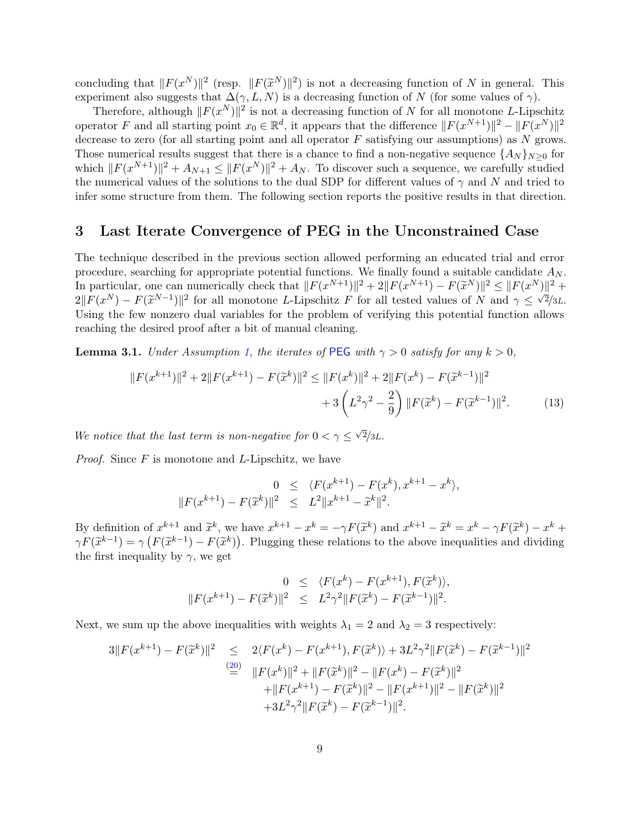concluding that  $||F(x^N)||^2$  (resp.  $||F(\tilde{x}^N)||^2$ ) is not a decreasing function of N in general. This experiment also suggests that  $\Delta(\gamma, L, N)$  is a decreasing function of N (for some values of  $\gamma$ ).

Therefore, although  $||F(x^N)||^2$  is not a decreasing function of N for all monotone L-Lipschitz operator F and all starting point  $x_0 \in \mathbb{R}^d$ , it appears that the difference  $||F(x^{N+1})||^2 - ||F(x^N)||^2$ decrease to zero (for all starting point and all operator  $F$  satisfying our assumptions) as  $N$  grows. Those numerical results suggest that there is a chance to find a non-negative sequence  $\{A_N\}_{N\geq 0}$  for which  $||F(x^{N+1})||^2 + A_{N+1} \le ||F(x^N)||^2 + A_N$ . To discover such a sequence, we carefully studied the numerical values of the solutions to the dual SDP for different values of  $\gamma$  and N and tried to infer some structure from them. The following section reports the positive results in that direction.

#### <span id="page-8-0"></span>3 Last Iterate Convergence of PEG in the Unconstrained Case

The technique described in the previous section allowed performing an educated trial and error procedure, searching for appropriate potential functions. We finally found a suitable candidate  $A_N$ . In particular, one can numerically check that  $||F(x^{N+1})||^2 + 2||F(x^{N+1}) - F(\tilde{x}^N)||^2 \le ||F(x^N)||^2 +$ <br>2 $||F(x^N) - F(\tilde{x}^N - 1)||^2$  for all monotone L I insclitz E for all totad values of N and  $\alpha \le \sqrt{2}/2L$  $2||F(x^N) - F(\tilde{x}^{N-1})||^2$  for all monotone L-Lipschitz F for all tested values of N and  $\gamma \leq \sqrt{2}/3L$ .<br>Heing the four popers dual variables for the problem of verifying this potential function allows. Using the few nonzero dual variables for the problem of verifying this potential function allows reaching the desired proof after a bit of manual cleaning.

<span id="page-8-1"></span>**Lemma 3.1.** Under Assumption [1,](#page-1-2) the iterates of [PEG](#page-1-0) with  $\gamma > 0$  satisfy for any  $k > 0$ ,

$$
||F(x^{k+1})||^2 + 2||F(x^{k+1}) - F(\tilde{x}^k)||^2 \le ||F(x^k)||^2 + 2||F(x^k) - F(\tilde{x}^{k-1})||^2
$$
  
+ 
$$
3\left(L^2\gamma^2 - \frac{2}{9}\right)||F(\tilde{x}^k) - F(\tilde{x}^{k-1})||^2.
$$
 (13)

We notice that the last term is non-negative for  $0 < \gamma \leq \sqrt{2}/3L$ .

*Proof.* Since  $F$  is monotone and  $L$ -Lipschitz, we have

<span id="page-8-2"></span>
$$
0 \leq \langle F(x^{k+1}) - F(x^k), x^{k+1} - x^k \rangle,
$$
  

$$
||F(x^{k+1}) - F(\tilde{x}^k)||^2 \leq L^2 ||x^{k+1} - \tilde{x}^k||^2.
$$

By definition of  $x^{k+1}$  and  $\tilde{x}^k$ , we have  $x^{k+1} - x^k = -\gamma F(\tilde{x}^k)$  and  $x^{k+1} - \tilde{x}^k = x^k - \gamma F(\tilde{x}^k) - x^k +$ <br>ex $F(\tilde{x}^{k-1}) - \gamma (F(\tilde{x}^{k-1}) - F(\tilde{x}^k))$ . Plugging these relations to the shore inequalities and dividin  $\gamma F(\tilde{x}^{k-1}) = \gamma (F(\tilde{x}^{k-1}) - F(\tilde{x}^k))$ . Plugging these relations to the above inequalities and dividing the first inequality by  $\alpha$  we get the first inequality by  $\gamma$ , we get

$$
0 \leq \langle F(x^{k}) - F(x^{k+1}), F(\tilde{x}^{k}) \rangle, ||F(x^{k+1}) - F(\tilde{x}^{k})||^{2} \leq L^{2} \gamma^{2} ||F(\tilde{x}^{k}) - F(\tilde{x}^{k-1})||^{2}.
$$

Next, we sum up the above inequalities with weights  $\lambda_1 = 2$  and  $\lambda_2 = 3$  respectively:

$$
3||F(x^{k+1}) - F(\tilde{x}^{k})||^{2} \le 2\langle F(x^{k}) - F(x^{k+1}), F(\tilde{x}^{k})\rangle + 3L^{2}\gamma^{2}||F(\tilde{x}^{k}) - F(\tilde{x}^{k-1})||^{2}
$$
  
\n
$$
\stackrel{(20)}{=} ||F(x^{k})||^{2} + ||F(\tilde{x}^{k})||^{2} - ||F(x^{k}) - F(\tilde{x}^{k})||^{2}
$$
  
\n
$$
+ ||F(x^{k+1}) - F(\tilde{x}^{k})||^{2} - ||F(x^{k+1})||^{2} - ||F(\tilde{x}^{k})||^{2}
$$
  
\n
$$
+ 3L^{2}\gamma^{2}||F(\tilde{x}^{k}) - F(\tilde{x}^{k-1})||^{2}.
$$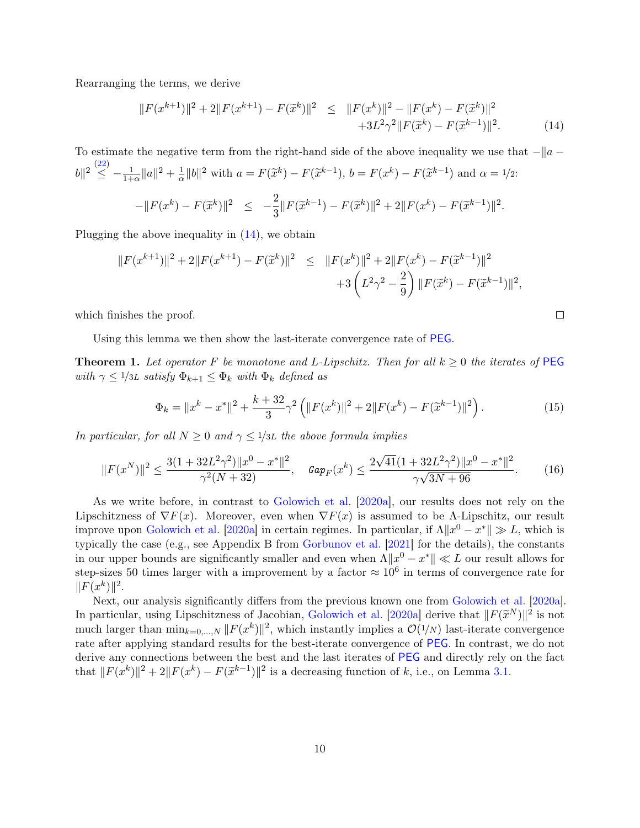Rearranging the terms, we derive

<span id="page-9-1"></span>
$$
||F(x^{k+1})||^2 + 2||F(x^{k+1}) - F(\tilde{x}^k)||^2 \le ||F(x^k)||^2 - ||F(x^k) - F(\tilde{x}^k)||^2
$$
  
+3L<sup>2</sup> $\gamma^2 ||F(\tilde{x}^k) - F(\tilde{x}^{k-1})||^2$ . (14)

To estimate the negative term from the right-hand side of the above inequality we use that  $-||a - b||$  $||b||^2 \leq \frac{(22)}{\leq} - \frac{1}{1+\alpha} ||a||^2 + \frac{1}{\alpha}$  $||b||^2 \leq \frac{(22)}{\leq} - \frac{1}{1+\alpha} ||a||^2 + \frac{1}{\alpha}$  $||b||^2 \leq \frac{(22)}{\leq} - \frac{1}{1+\alpha} ||a||^2 + \frac{1}{\alpha}$  $\frac{1}{\alpha} ||b||^2$  with  $a = F(\tilde{x}^k) - F(\tilde{x}^{k-1}), b = F(x^k) - F(\tilde{x}^{k-1})$  and  $\alpha = 1/2$ :  $-\|F(x^k) - F(\tilde{x}^k)\|^2 \leq -\frac{2}{3}$  $\frac{2}{3}||F(\widetilde{x}^{k-1}) - F(\widetilde{x}^k)||^2 + 2||F(x^k) - F(\widetilde{x}^{k-1})||^2.$ 

Plugging the above inequality in [\(14\)](#page-9-1), we obtain

$$
||F(x^{k+1})||^2 + 2||F(x^{k+1}) - F(\tilde{x}^k)||^2 \le ||F(x^k)||^2 + 2||F(x^k) - F(\tilde{x}^{k-1})||^2
$$
  
+3 $\left(L^2\gamma^2 - \frac{2}{9}\right)||F(\tilde{x}^k) - F(\tilde{x}^{k-1})||^2$ ,

which finishes the proof.

Using this lemma we then show the last-iterate convergence rate of [PEG](#page-1-0).

<span id="page-9-0"></span>**Theorem 1.** Let operator F be monotone and L-Lipschitz. Then for all  $k \geq 0$  the iterates of [PEG](#page-1-0) with  $\gamma \leq 1/3L$  satisfy  $\Phi_{k+1} \leq \Phi_k$  with  $\Phi_k$  defined as

$$
\Phi_k = \|x^k - x^*\|^2 + \frac{k + 32}{3}\gamma^2 \left( \|F(x^k)\|^2 + 2\|F(x^k) - F(\tilde{x}^{k-1})\|^2 \right). \tag{15}
$$

 $\Box$ 

In particular, for all  $N \geq 0$  and  $\gamma \leq 1/3L$  the above formula implies

$$
||F(x^N)||^2 \le \frac{3(1+32L^2\gamma^2)||x^0 - x^*||^2}{\gamma^2(N+32)}, \quad \text{Gap}_F(x^k) \le \frac{2\sqrt{41}(1+32L^2\gamma^2)||x^0 - x^*||^2}{\gamma\sqrt{3N+96}}.\tag{16}
$$

As we write before, in contrast to [Golowich et al.](#page-12-0) [\[2020a\]](#page-12-0), our results does not rely on the Lipschitzness of  $\nabla F(x)$ . Moreover, even when  $\nabla F(x)$  is assumed to be Λ-Lipschitz, our result improve upon [Golowich et al.](#page-12-0) [\[2020a\]](#page-12-0) in certain regimes. In particular, if  $\Lambda \|x^0 - x^*\| \gg L$ , which is typically the case (e.g., see Appendix B from [Gorbunov et al.](#page-12-6) [\[2021\]](#page-12-6) for the details), the constants in our upper bounds are significantly smaller and even when  $\Lambda \|x^0 - x^*\| \ll L$  our result allows for step-sizes 50 times larger with a improvement by a factor  $\approx 10^6$  in terms of convergence rate for  $||F(x^k)||^2$ .

Next, our analysis significantly differs from the previous known one from [Golowich et al.](#page-12-0) [\[2020a\]](#page-12-0). In particular, using Lipschitzness of Jacobian, [Golowich et al.](#page-12-0) [\[2020a\]](#page-12-0) derive that  $||F(\tilde{x}^N)||^2$  is not<br>much larger than  $\min_{x \in \mathbb{R}} ||F(x^k)||^2$  which instantly implies a  $O(1/N)$  lest iterate convergence much larger than  $\min_{k=0,\dots,N} ||F(x^k)||^2$ , which instantly implies a  $\mathcal{O}(1/N)$  last-iterate convergence rate after applying standard results for the best-iterate convergence of [PEG](#page-1-0). In contrast, we do not derive any connections between the best and the last iterates of [PEG](#page-1-0) and directly rely on the fact that  $||F(x^k)||^2 + 2||F(x^k) - F(\tilde{x}^{k-1})||^2$  is a decreasing function of k, i.e., on Lemma [3.1.](#page-8-1)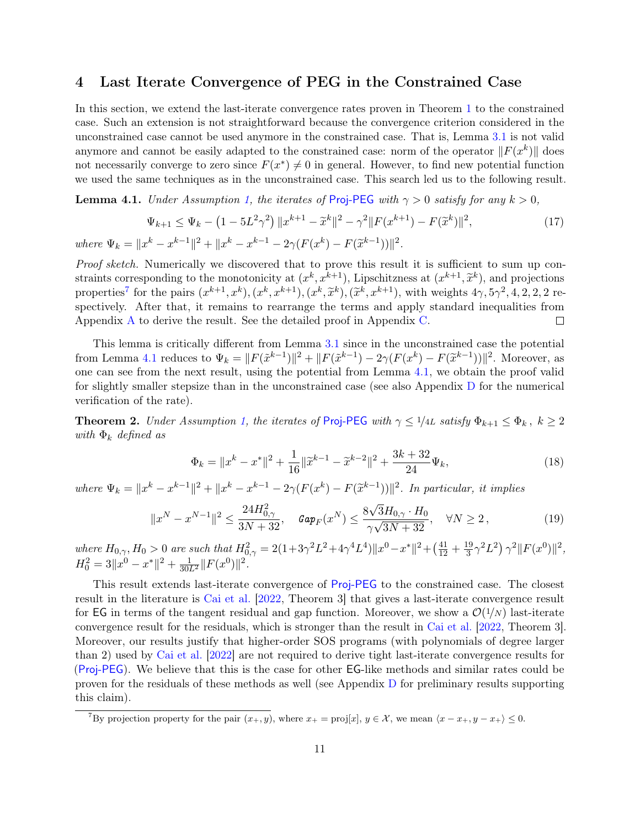#### <span id="page-10-0"></span>4 Last Iterate Convergence of PEG in the Constrained Case

In this section, we extend the last-iterate convergence rates proven in Theorem [1](#page-9-0) to the constrained case. Such an extension is not straightforward because the convergence criterion considered in the unconstrained case cannot be used anymore in the constrained case. That is, Lemma [3.1](#page-8-1) is not valid anymore and cannot be easily adapted to the constrained case: norm of the operator  $||F(x^k)||$  does not necessarily converge to zero since  $F(x^*) \neq 0$  in general. However, to find new potential function we used the same techniques as in the unconstrained case. This search led us to the following result.

<span id="page-10-3"></span>**Lemma 4.1.** Under Assumption [1,](#page-1-2) the iterates of [Proj-PEG](#page-1-0) with  $\gamma > 0$  satisfy for any  $k > 0$ ,

$$
\Psi_{k+1} \le \Psi_k - \left(1 - 5L^2 \gamma^2\right) \|x^{k+1} - \tilde{x}^k\|^2 - \gamma^2 \|F(x^{k+1}) - F(\tilde{x}^k)\|^2,
$$
\n
$$
|x^k - x^{k-1}\|^2 + \|x^k - x^{k-1} - 2\gamma (F(x^k) - F(\tilde{x}^{k-1}))\|^2.
$$
\n
$$
(17)
$$

where  $\Psi_k = ||x$  $k - x$ <sup>k</sup>−1k  $+$   $+$   $+$  $k - x$  $k-1-2\gamma(F(x^k)-F(\widetilde{x}))$  $))$ 

Proof sketch. Numerically we discovered that to prove this result it is sufficient to sum up constraints corresponding to the monotonicity at  $(x^k, x^{k+1})$ , Lipschitzness at  $(x^{k+1}, \tilde{x}^k)$ , and projections<br>proportions for the pairs  $(x^{k+1}, x^k)$ ,  $(x^k, x^{k+1})$ ,  $(x^k, \tilde{x}^k)$ ,  $(\tilde{x}^k, x^{k+1})$ , with weights  $4\alpha$ ,  $5$ properties<sup>[7](#page-10-2)</sup> for the pairs  $(x^{k+1}, x^k)$ ,  $(x^k, x^{k+1})$ ,  $(x^k, \tilde{x}^k)$ ,  $(\tilde{x}^k, x^{k+1})$ , with weights  $4\gamma, 5\gamma^2, 4, 2, 2, 2$  respectively. After that, it remains to rearrange the terms and apply standard inequalities from Appendix [A](#page-15-1) to derive the result. See the detailed proof in Appendix [C.](#page-18-0)  $\Box$ 

This lemma is critically different from Lemma [3.1](#page-8-1) since in the unconstrained case the potential from Lemma [4.1](#page-10-3) reduces to  $\Psi_k = ||F(\tilde{x}^{k-1})||^2 + ||F(\tilde{x}^{k-1}) - 2\gamma(F(x^k) - F(\tilde{x}^{k-1}))||^2$ . Moreover, as one can see from the next result, using the potential from Lemma [4.1,](#page-10-3) we obtain the proof valid for slightly smaller stepsize than in the unconstrained case (see also Appendix [D](#page-23-0) for the numerical verification of the rate).

<span id="page-10-1"></span>**Theorem 2.** Under Assumption [1,](#page-1-2) the iterates of [Proj-PEG](#page-1-0) with  $\gamma \leq 1/4L$  satisfy  $\Phi_{k+1} \leq \Phi_k$ ,  $k \geq 2$ with  $\Phi_k$  defined as

$$
\Phi_k = \|x^k - x^*\|^2 + \frac{1}{16}\|\tilde{x}^{k-1} - \tilde{x}^{k-2}\|^2 + \frac{3k+32}{24}\Psi_k,
$$
\n(18)

where  $\Psi_k = \|x^k - x^{k-1}\|^2 + \|x^k - x^{k-1} - 2\gamma(F(x^k) - F(\tilde{x}^{k-1}))\|^2$ . In particular, it implies √

$$
||x^N - x^{N-1}||^2 \le \frac{24H_{0,\gamma}^2}{3N + 32}, \quad \text{Gap}_F(x^N) \le \frac{8\sqrt{3}H_{0,\gamma} \cdot H_0}{\gamma\sqrt{3N + 32}}, \quad \forall N \ge 2,
$$
\n<sup>(19)</sup>

where  $H_{0,\gamma}$ ,  $H_0 > 0$  are such that  $H_{0,\gamma}^2 = 2(1 + 3\gamma^2 L^2 + 4\gamma^4 L^4) ||x^0 - x^*||^2 + (\frac{41}{12} + \frac{19}{3})$  $\frac{19}{3}\gamma^2 L^2$   $\gamma^2 \|F(x^0)\|^2$ ,  $H_0^2 = 3||x^0 - x^*||^2 + \frac{1}{30L^2}||F(x^0)||^2.$ 

This result extends last-iterate convergence of [Proj-PEG](#page-1-0) to the constrained case. The closest result in the literature is [Cai et al.](#page-11-1) [\[2022,](#page-11-1) Theorem 3] that gives a last-iterate convergence result for EG in terms of the tangent residual and gap function. Moreover, we show a  $\mathcal{O}(1/N)$  last-iterate convergence result for the residuals, which is stronger than the result in [Cai et al.](#page-11-1) [\[2022,](#page-11-1) Theorem 3]. Moreover, our results justify that higher-order SOS programs (with polynomials of degree larger than 2) used by [Cai et al.](#page-11-1) [\[2022\]](#page-11-1) are not required to derive tight last-iterate convergence results for ([Proj-PEG](#page-1-0)). We believe that this is the case for other EG-like methods and similar rates could be proven for the residuals of these methods as well (see Appendix [D](#page-23-0) for preliminary results supporting this claim).

<span id="page-10-2"></span><sup>&</sup>lt;sup>7</sup>By projection property for the pair  $(x_+, y)$ , where  $x_+ = \text{proj}[x]$ ,  $y \in \mathcal{X}$ , we mean  $\langle x - x_+, y - x_+ \rangle \leq 0$ .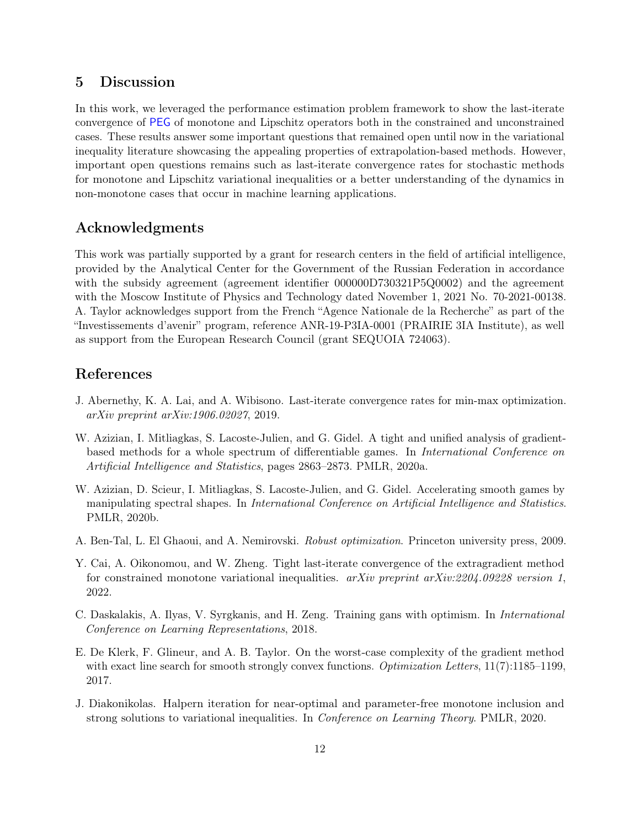### <span id="page-11-2"></span>5 Discussion

In this work, we leveraged the performance estimation problem framework to show the last-iterate convergence of [PEG](#page-1-0) of monotone and Lipschitz operators both in the constrained and unconstrained cases. These results answer some important questions that remained open until now in the variational inequality literature showcasing the appealing properties of extrapolation-based methods. However, important open questions remains such as last-iterate convergence rates for stochastic methods for monotone and Lipschitz variational inequalities or a better understanding of the dynamics in non-monotone cases that occur in machine learning applications.

## Acknowledgments

This work was partially supported by a grant for research centers in the field of artificial intelligence, provided by the Analytical Center for the Government of the Russian Federation in accordance with the subsidy agreement (agreement identifier  $000000D730321P5Q0002$ ) and the agreement with the Moscow Institute of Physics and Technology dated November 1, 2021 No. 70-2021-00138. A. Taylor acknowledges support from the French "Agence Nationale de la Recherche" as part of the "Investissements d'avenir" program, reference ANR-19-P3IA-0001 (PRAIRIE 3IA Institute), as well as support from the European Research Council (grant SEQUOIA 724063).

## References

- <span id="page-11-4"></span>J. Abernethy, K. A. Lai, and A. Wibisono. Last-iterate convergence rates for min-max optimization. arXiv preprint arXiv:1906.02027, 2019.
- <span id="page-11-5"></span>W. Azizian, I. Mitliagkas, S. Lacoste-Julien, and G. Gidel. A tight and unified analysis of gradientbased methods for a whole spectrum of differentiable games. In International Conference on Artificial Intelligence and Statistics, pages 2863–2873. PMLR, 2020a.
- <span id="page-11-6"></span>W. Azizian, D. Scieur, I. Mitliagkas, S. Lacoste-Julien, and G. Gidel. Accelerating smooth games by manipulating spectral shapes. In International Conference on Artificial Intelligence and Statistics. PMLR, 2020b.
- <span id="page-11-0"></span>A. Ben-Tal, L. El Ghaoui, and A. Nemirovski. Robust optimization. Princeton university press, 2009.
- <span id="page-11-1"></span>Y. Cai, A. Oikonomou, and W. Zheng. Tight last-iterate convergence of the extragradient method for constrained monotone variational inequalities.  $arXiv$  preprint  $arXiv:2204.09228$  version 1, 2022.
- <span id="page-11-3"></span>C. Daskalakis, A. Ilyas, V. Syrgkanis, and H. Zeng. Training gans with optimism. In International Conference on Learning Representations, 2018.
- <span id="page-11-8"></span>E. De Klerk, F. Glineur, and A. B. Taylor. On the worst-case complexity of the gradient method with exact line search for smooth strongly convex functions. *Optimization Letters*, 11(7):1185–1199, 2017.
- <span id="page-11-7"></span>J. Diakonikolas. Halpern iteration for near-optimal and parameter-free monotone inclusion and strong solutions to variational inequalities. In Conference on Learning Theory. PMLR, 2020.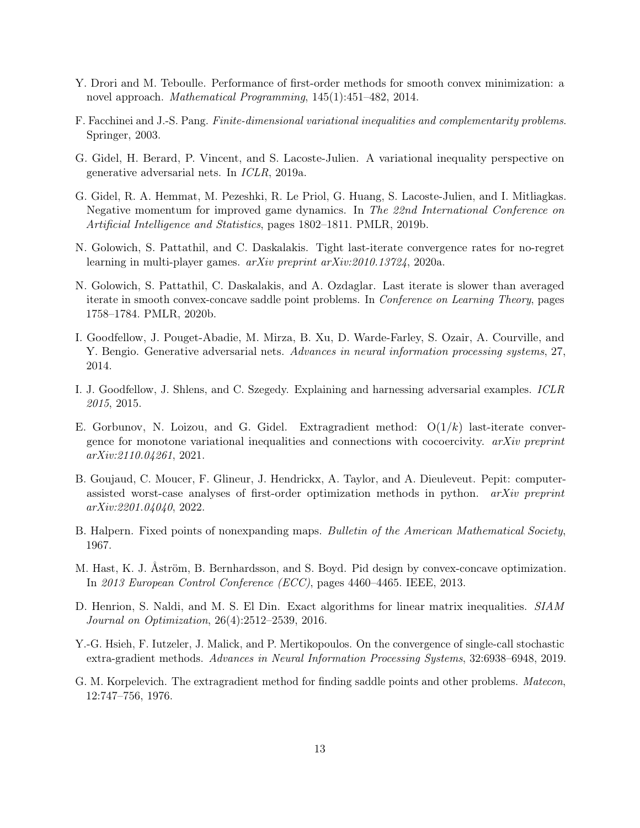- <span id="page-12-7"></span>Y. Drori and M. Teboulle. Performance of first-order methods for smooth convex minimization: a novel approach. Mathematical Programming, 145(1):451–482, 2014.
- <span id="page-12-4"></span>F. Facchinei and J.-S. Pang. Finite-dimensional variational inequalities and complementarity problems. Springer, 2003.
- <span id="page-12-11"></span>G. Gidel, H. Berard, P. Vincent, and S. Lacoste-Julien. A variational inequality perspective on generative adversarial nets. In ICLR, 2019a.
- <span id="page-12-12"></span>G. Gidel, R. A. Hemmat, M. Pezeshki, R. Le Priol, G. Huang, S. Lacoste-Julien, and I. Mitliagkas. Negative momentum for improved game dynamics. In The 22nd International Conference on Artificial Intelligence and Statistics, pages 1802–1811. PMLR, 2019b.
- <span id="page-12-0"></span>N. Golowich, S. Pattathil, and C. Daskalakis. Tight last-iterate convergence rates for no-regret learning in multi-player games. arXiv preprint arXiv:2010.13724, 2020a.
- <span id="page-12-10"></span>N. Golowich, S. Pattathil, C. Daskalakis, and A. Ozdaglar. Last iterate is slower than averaged iterate in smooth convex-concave saddle point problems. In Conference on Learning Theory, pages 1758–1784. PMLR, 2020b.
- <span id="page-12-2"></span>I. Goodfellow, J. Pouget-Abadie, M. Mirza, B. Xu, D. Warde-Farley, S. Ozair, A. Courville, and Y. Bengio. Generative adversarial nets. Advances in neural information processing systems, 27, 2014.
- <span id="page-12-3"></span>I. J. Goodfellow, J. Shlens, and C. Szegedy. Explaining and harnessing adversarial examples. ICLR 2015, 2015.
- <span id="page-12-6"></span>E. Gorbunov, N. Loizou, and G. Gidel. Extragradient method:  $O(1/k)$  last-iterate convergence for monotone variational inequalities and connections with cocoercivity. arXiv preprint arXiv:2110.04261, 2021.
- <span id="page-12-8"></span>B. Goujaud, C. Moucer, F. Glineur, J. Hendrickx, A. Taylor, and A. Dieuleveut. Pepit: computerassisted worst-case analyses of first-order optimization methods in python. *arXiv preprint* arXiv:2201.04040, 2022.
- <span id="page-12-13"></span>B. Halpern. Fixed points of nonexpanding maps. Bulletin of the American Mathematical Society, 1967.
- <span id="page-12-1"></span>M. Hast, K. J. Åström, B. Bernhardsson, and S. Boyd. Pid design by convex-concave optimization. In 2013 European Control Conference (ECC), pages 4460–4465. IEEE, 2013.
- <span id="page-12-14"></span>D. Henrion, S. Naldi, and M. S. El Din. Exact algorithms for linear matrix inequalities. SIAM Journal on Optimization, 26(4):2512–2539, 2016.
- <span id="page-12-9"></span>Y.-G. Hsieh, F. Iutzeler, J. Malick, and P. Mertikopoulos. On the convergence of single-call stochastic extra-gradient methods. Advances in Neural Information Processing Systems, 32:6938–6948, 2019.
- <span id="page-12-5"></span>G. M. Korpelevich. The extragradient method for finding saddle points and other problems. Matecon, 12:747–756, 1976.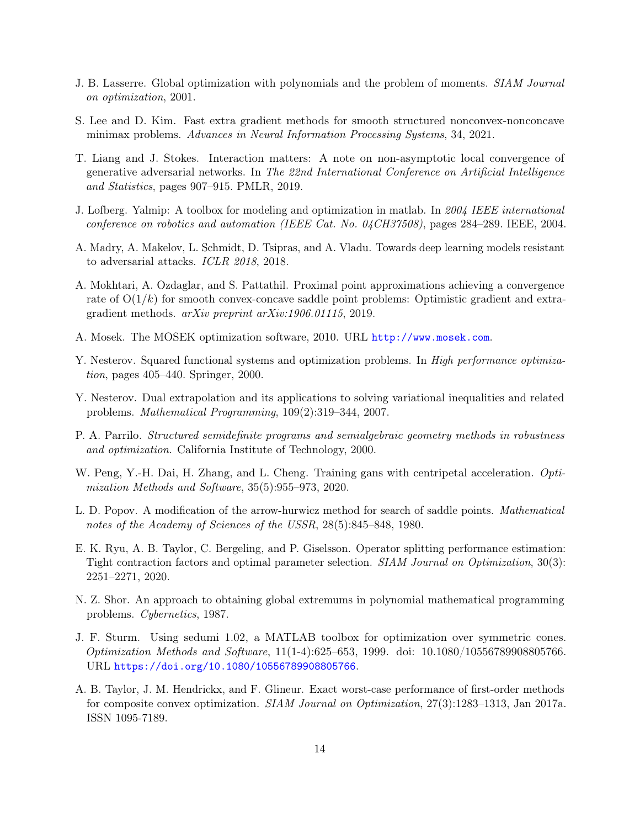- <span id="page-13-5"></span>J. B. Lasserre. Global optimization with polynomials and the problem of moments. SIAM Journal on optimization, 2001.
- <span id="page-13-11"></span>S. Lee and D. Kim. Fast extra gradient methods for smooth structured nonconvex-nonconcave minimax problems. Advances in Neural Information Processing Systems, 34, 2021.
- <span id="page-13-8"></span>T. Liang and J. Stokes. Interaction matters: A note on non-asymptotic local convergence of generative adversarial networks. In The 22nd International Conference on Artificial Intelligence and Statistics, pages 907–915. PMLR, 2019.
- <span id="page-13-6"></span>J. Lofberg. Yalmip: A toolbox for modeling and optimization in matlab. In 2004 IEEE international conference on robotics and automation (IEEE Cat. No. 04CH37508), pages 284–289. IEEE, 2004.
- <span id="page-13-1"></span>A. Madry, A. Makelov, L. Schmidt, D. Tsipras, and A. Vladu. Towards deep learning models resistant to adversarial attacks. ICLR 2018, 2018.
- <span id="page-13-9"></span>A. Mokhtari, A. Ozdaglar, and S. Pattathil. Proximal point approximations achieving a convergence rate of  $O(1/k)$  for smooth convex-concave saddle point problems: Optimistic gradient and extragradient methods. arXiv preprint arXiv:1906.01115, 2019.
- <span id="page-13-14"></span>A. Mosek. The MOSEK optimization software, 2010. URL <http://www.mosek.com>.
- <span id="page-13-3"></span>Y. Nesterov. Squared functional systems and optimization problems. In *High performance optimiza*tion, pages 405–440. Springer, 2000.
- <span id="page-13-7"></span>Y. Nesterov. Dual extrapolation and its applications to solving variational inequalities and related problems. Mathematical Programming, 109(2):319–344, 2007.
- <span id="page-13-4"></span>P. A. Parrilo. Structured semidefinite programs and semialgebraic geometry methods in robustness and optimization. California Institute of Technology, 2000.
- <span id="page-13-10"></span>W. Peng, Y.-H. Dai, H. Zhang, and L. Cheng. Training gans with centripetal acceleration. Optimization Methods and Software, 35(5):955–973, 2020.
- <span id="page-13-0"></span>L. D. Popov. A modification of the arrow-hurwicz method for search of saddle points. Mathematical notes of the Academy of Sciences of the USSR, 28(5):845–848, 1980.
- <span id="page-13-12"></span>E. K. Ryu, A. B. Taylor, C. Bergeling, and P. Giselsson. Operator splitting performance estimation: Tight contraction factors and optimal parameter selection. SIAM Journal on Optimization, 30(3): 2251–2271, 2020.
- <span id="page-13-2"></span>N. Z. Shor. An approach to obtaining global extremums in polynomial mathematical programming problems. Cybernetics, 1987.
- <span id="page-13-15"></span>J. F. Sturm. Using sedumi 1.02, a MATLAB toolbox for optimization over symmetric cones. Optimization Methods and Software, 11(1-4):625–653, 1999. doi: 10.1080/10556789908805766. URL <https://doi.org/10.1080/10556789908805766>.
- <span id="page-13-13"></span>A. B. Taylor, J. M. Hendrickx, and F. Glineur. Exact worst-case performance of first-order methods for composite convex optimization. SIAM Journal on Optimization, 27(3):1283–1313, Jan 2017a. ISSN 1095-7189.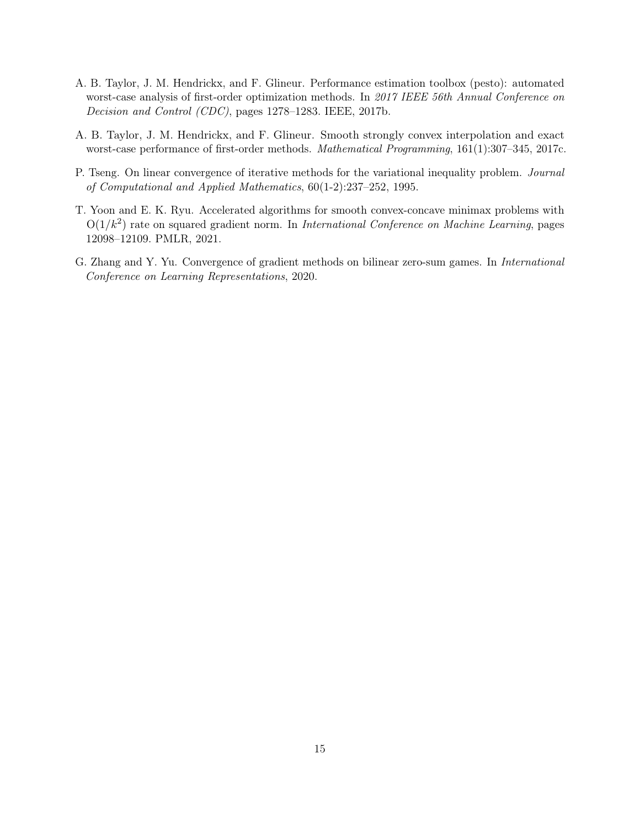- <span id="page-14-1"></span>A. B. Taylor, J. M. Hendrickx, and F. Glineur. Performance estimation toolbox (pesto): automated worst-case analysis of first-order optimization methods. In 2017 IEEE 56th Annual Conference on Decision and Control (CDC), pages 1278–1283. IEEE, 2017b.
- <span id="page-14-0"></span>A. B. Taylor, J. M. Hendrickx, and F. Glineur. Smooth strongly convex interpolation and exact worst-case performance of first-order methods. Mathematical Programming, 161(1):307–345, 2017c.
- <span id="page-14-2"></span>P. Tseng. On linear convergence of iterative methods for the variational inequality problem. Journal of Computational and Applied Mathematics, 60(1-2):237–252, 1995.
- <span id="page-14-4"></span>T. Yoon and E. K. Ryu. Accelerated algorithms for smooth convex-concave minimax problems with  $O(1/k^2)$  rate on squared gradient norm. In International Conference on Machine Learning, pages 12098–12109. PMLR, 2021.
- <span id="page-14-3"></span>G. Zhang and Y. Yu. Convergence of gradient methods on bilinear zero-sum games. In International Conference on Learning Representations, 2020.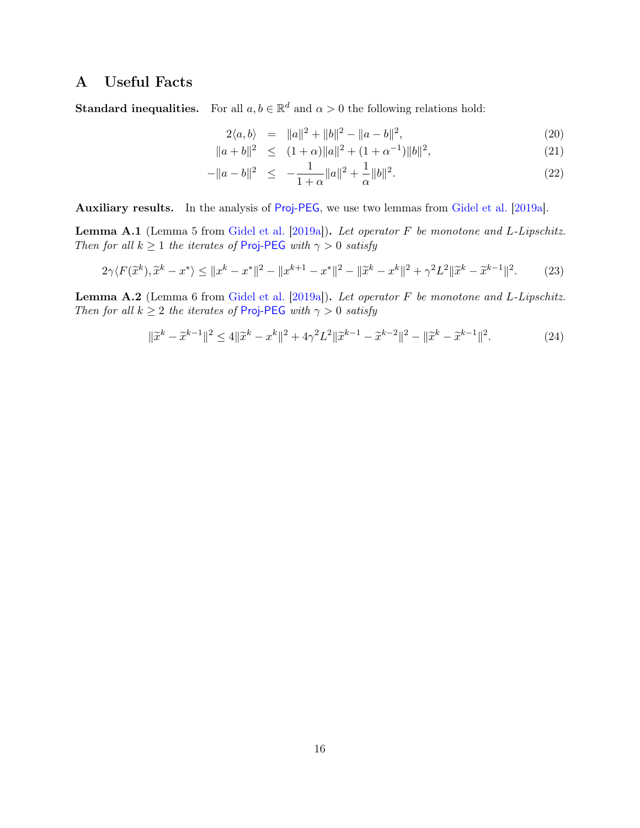# <span id="page-15-1"></span>A Useful Facts

**Standard inequalities.** For all  $a, b \in \mathbb{R}^d$  and  $\alpha > 0$  the following relations hold:

<span id="page-15-0"></span>
$$
2\langle a, b \rangle = ||a||^2 + ||b||^2 - ||a - b||^2, \tag{20}
$$

$$
||a+b||^2 \le (1+\alpha)||a||^2 + (1+\alpha^{-1})||b||^2,
$$
\n(21)

$$
-\|a - b\|^2 \le -\frac{1}{1+\alpha} \|a\|^2 + \frac{1}{\alpha} \|b\|^2.
$$
 (22)

Auxiliary results. In the analysis of [Proj-PEG](#page-1-0), we use two lemmas from [Gidel et al.](#page-12-11) [\[2019a\]](#page-12-11).

<span id="page-15-2"></span>Lemma A.1 (Lemma 5 from [Gidel et al.](#page-12-11) [\[2019a\]](#page-12-11)). Let operator F be monotone and L-Lipschitz. Then for all  $k \geq 1$  the iterates of [Proj-PEG](#page-1-0) with  $\gamma > 0$  satisfy

$$
2\gamma \langle F(\tilde{x}^k), \tilde{x}^k - x^* \rangle \le ||x^k - x^*||^2 - ||x^{k+1} - x^*||^2 - ||\tilde{x}^k - x^k||^2 + \gamma^2 L^2 ||\tilde{x}^k - \tilde{x}^{k-1}||^2. \tag{23}
$$

<span id="page-15-3"></span>Lemma A.2 (Lemma 6 from [Gidel et al.](#page-12-11) [\[2019a\]](#page-12-11)). Let operator F be monotone and L-Lipschitz. Then for all  $k \geq 2$  the iterates of [Proj-PEG](#page-1-0) with  $\gamma > 0$  satisfy

$$
\|\tilde{x}^{k} - \tilde{x}^{k-1}\|^2 \le 4\|\tilde{x}^{k} - x^k\|^2 + 4\gamma^2 L^2 \|\tilde{x}^{k-1} - \tilde{x}^{k-2}\|^2 - \|\tilde{x}^{k} - \tilde{x}^{k-1}\|^2. \tag{24}
$$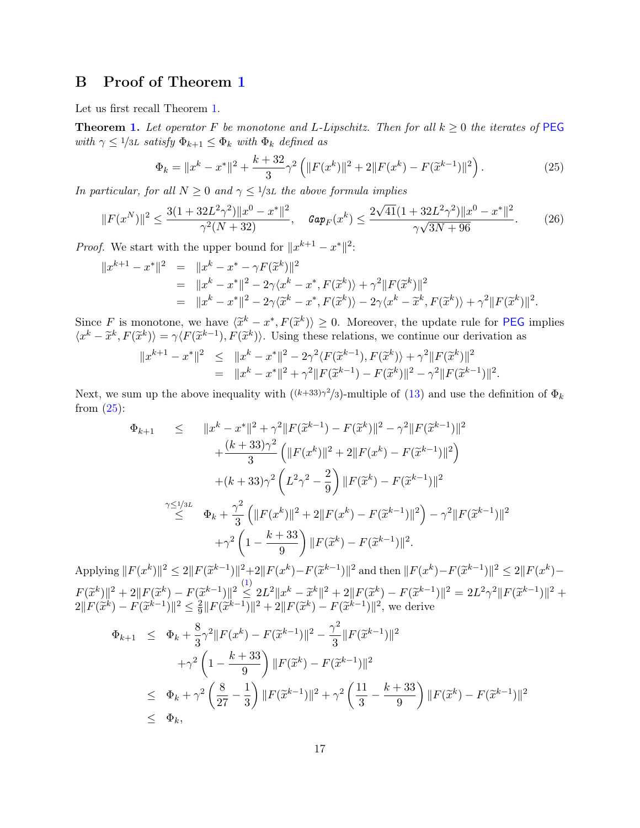# B Proof of Theorem [1](#page-9-0)

Let us first recall Theorem [1.](#page-9-0)

**Theorem [1.](#page-9-0)** Let operator F be monotone and L-Lipschitz. Then for all  $k \geq 0$  the iterates of [PEG](#page-1-0) with  $\gamma \leq 1/3L$  satisfy  $\Phi_{k+1} \leq \Phi_k$  with  $\Phi_k$  defined as

<span id="page-16-1"></span><span id="page-16-0"></span>
$$
\Phi_k = \|x^k - x^*\|^2 + \frac{k + 32}{3}\gamma^2 \left( \|F(x^k)\|^2 + 2\|F(x^k) - F(\tilde{x}^{k-1})\|^2 \right). \tag{25}
$$

In particular, for all  $N \geq 0$  and  $\gamma \leq 1/3L$  the above formula implies

$$
||F(x^N)||^2 \le \frac{3(1+32L^2\gamma^2)||x^0 - x^*||^2}{\gamma^2(N+32)}, \quad \text{Gap}_F(x^k) \le \frac{2\sqrt{41}(1+32L^2\gamma^2)||x^0 - x^*||^2}{\gamma\sqrt{3N+96}}.\tag{26}
$$

*Proof.* We start with the upper bound for  $||x^{k+1} - x^*||^2$ :

$$
||x^{k+1} - x^*||^2 = ||x^k - x^* - \gamma F(\tilde{x}^k)||^2
$$
  
=  $||x^k - x^*||^2 - 2\gamma\langle x^k - x^*, F(\tilde{x}^k) \rangle + \gamma^2 ||F(\tilde{x}^k)||^2$   
=  $||x^k - x^*||^2 - 2\gamma\langle \tilde{x}^k - x^*, F(\tilde{x}^k) \rangle - 2\gamma\langle x^k - \tilde{x}^k, F(\tilde{x}^k) \rangle + \gamma^2 ||F(\tilde{x}^k)||^2.$ 

Since F is monotone, we have  $\langle \tilde{x}^k - x^*, F(\tilde{x}^k) \rangle \ge 0$ . Moreover, the update rule for **[PEG](#page-1-0)** implies  $\langle x^k - \tilde{x}^k \rangle = \gamma(E(\tilde{x}^{k-1}) - E(\tilde{x}^{k}) \rangle$ . Leing these relations, we continue our derivation as  $\langle x^k - \tilde{x}^k, F(\tilde{x}^k) \rangle = \gamma \langle F(\tilde{x}^{k-1}), F(\tilde{x}^k) \rangle$ . Using these relations, we continue our derivation as

$$
||x^{k+1} - x^*||^2 \le ||x^k - x^*||^2 - 2\gamma^2 \langle F(\tilde{x}^{k-1}), F(\tilde{x}^k) \rangle + \gamma^2 ||F(\tilde{x}^k)||^2
$$
  
= 
$$
||x^k - x^*||^2 + \gamma^2 ||F(\tilde{x}^{k-1}) - F(\tilde{x}^k)||^2 - \gamma^2 ||F(\tilde{x}^{k-1})||^2.
$$

Next, we sum up the above inequality with  $((k+33)\gamma^2/3)$ -multiple of  $(13)$  and use the definition of  $\Phi_k$ from  $(25)$ :

$$
\Phi_{k+1} \leq \|x^{k} - x^{*}\|^{2} + \gamma^{2} \|F(\tilde{x}^{k-1}) - F(\tilde{x}^{k})\|^{2} - \gamma^{2} \|F(\tilde{x}^{k-1})\|^{2} \n+ \frac{(k+33)\gamma^{2}}{3} \left( \|F(x^{k})\|^{2} + 2\|F(x^{k}) - F(\tilde{x}^{k-1})\|^{2} \right) \n+ (k+33)\gamma^{2} \left( L^{2}\gamma^{2} - \frac{2}{9} \right) \|F(\tilde{x}^{k}) - F(\tilde{x}^{k-1})\|^{2} \n\gamma \leq 1/3L \Phi_{k} + \frac{\gamma^{2}}{3} \left( \|F(x^{k})\|^{2} + 2\|F(x^{k}) - F(\tilde{x}^{k-1})\|^{2} \right) - \gamma^{2} \|F(\tilde{x}^{k-1})\|^{2} \n+ \gamma^{2} \left( 1 - \frac{k+33}{9} \right) \|F(\tilde{x}^{k}) - F(\tilde{x}^{k-1})\|^{2}.
$$

Applying  $||F(x^k)||^2 \le 2||F(\tilde{x}^{k-1})||^2 + 2||F(x^k) - F(\tilde{x}^{k-1})||^2$  and then  $||F(x^k) - F(\tilde{x}^{k-1})||^2 \le 2||F(x^k) F(\widetilde{x}^k) \|^2 + 2\|F(\widetilde{x}^k) - F(\widetilde{x}^{k-1})\|^2 \leq 2L^2 \|x^k - \widetilde{x}^k\|^2 + 2\|F(\widetilde{x}^k) - F(\widetilde{x}^{k-1})\|^2 = 2L^2\gamma^2 \|F(\widetilde{x}^{k-1})\|^2 +$  $2\|F(\tilde{x}^k) - F(\tilde{x}^{k-1})\|^2 \le \frac{2}{9}$  $\frac{2}{9} ||F(\tilde{x}^{k-1})||^2 + 2||F(\tilde{x}^k) - F(\tilde{x}^{k-1})||^2$ , we derive

$$
\Phi_{k+1} \leq \Phi_k + \frac{8}{3}\gamma^2 \|F(x^k) - F(\tilde{x}^{k-1})\|^2 - \frac{\gamma^2}{3} \|F(\tilde{x}^{k-1})\|^2 \n+ \gamma^2 \left(1 - \frac{k+33}{9}\right) \|F(\tilde{x}^k) - F(\tilde{x}^{k-1})\|^2 \n\leq \Phi_k + \gamma^2 \left(\frac{8}{27} - \frac{1}{3}\right) \|F(\tilde{x}^{k-1})\|^2 + \gamma^2 \left(\frac{11}{3} - \frac{k+33}{9}\right) \|F(\tilde{x}^k) - F(\tilde{x}^{k-1})\|^2 \n\leq \Phi_k,
$$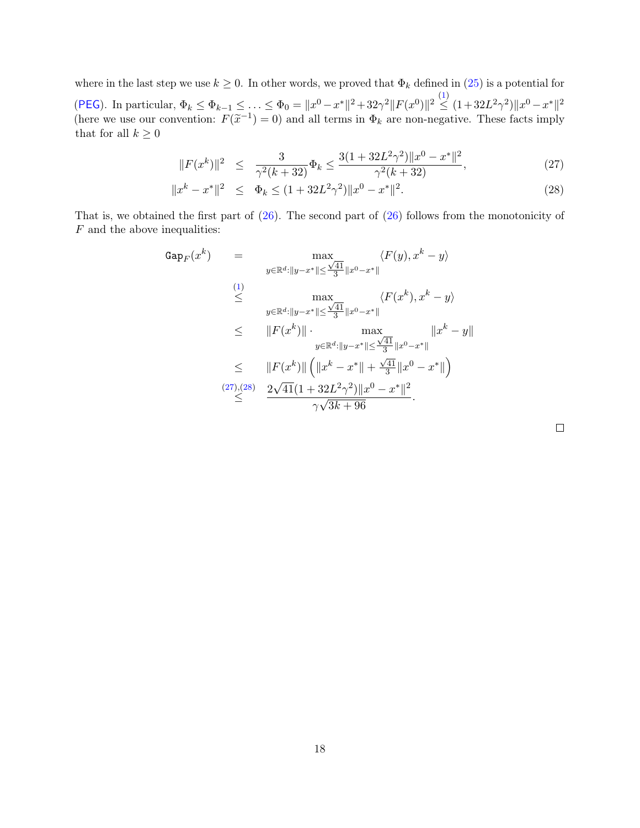where in the last step we use  $k \geq 0$ . In other words, we proved that  $\Phi_k$  defined in [\(25\)](#page-16-0) is a potential for ([PEG](#page-1-0)). In particular,  $\Phi_k \le \Phi_{k-1} \le \ldots \le \Phi_0 = \|x^0 - x^*\|^2 + 32\gamma^2 \|F(x^0)\|^2 \le (1 + 32L^2\gamma^2) \|x^0 - x^*\|^2$ (here we use our convention:  $F(\tilde{x}^{-1}) = 0$ ) and all terms in  $\Phi_k$  are non-negative. These facts imply that for all  $k > 0$ that for all  $k \geq 0$ 

<span id="page-17-0"></span>
$$
||F(x^k)||^2 \le \frac{3}{\gamma^2(k+32)} \Phi_k \le \frac{3(1+32L^2\gamma^2)||x^0 - x^*||^2}{\gamma^2(k+32)},
$$
\n(27)

$$
||x^{k} - x^{*}||^{2} \leq \Phi_{k} \leq (1 + 32L^{2}\gamma^{2})||x^{0} - x^{*}||^{2}.
$$
\n(28)

That is, we obtained the first part of [\(26\)](#page-16-1). The second part of [\(26\)](#page-16-1) follows from the monotonicity of  $F$  and the above inequalities:

$$
Gap_F(x^k) = \max_{y \in \mathbb{R}^d : \|y - x^*\| \le \frac{\sqrt{41}}{3} \|x^0 - x^*\|}
$$
  
\n(1)  
\n
$$
\le \max_{y \in \mathbb{R}^d : \|y - x^*\| \le \frac{\sqrt{41}}{3} \|x^0 - x^*\|}
$$
  
\n
$$
\le \|F(x^k)\| \cdot \max_{y \in \mathbb{R}^d : \|y - x^*\| \le \frac{\sqrt{41}}{3} \|x^0 - x^*\|}
$$
  
\n
$$
\le \|F(x^k)\| \cdot \max_{y \in \mathbb{R}^d : \|y - x^*\| \le \frac{\sqrt{41}}{3} \|x^0 - x^*\|}
$$
  
\n(27),(28)  
\n
$$
\frac{2\sqrt{41}(1 + 32L^2\gamma^2) \|x^0 - x^*\|^2}{\gamma \sqrt{3k + 96}}.
$$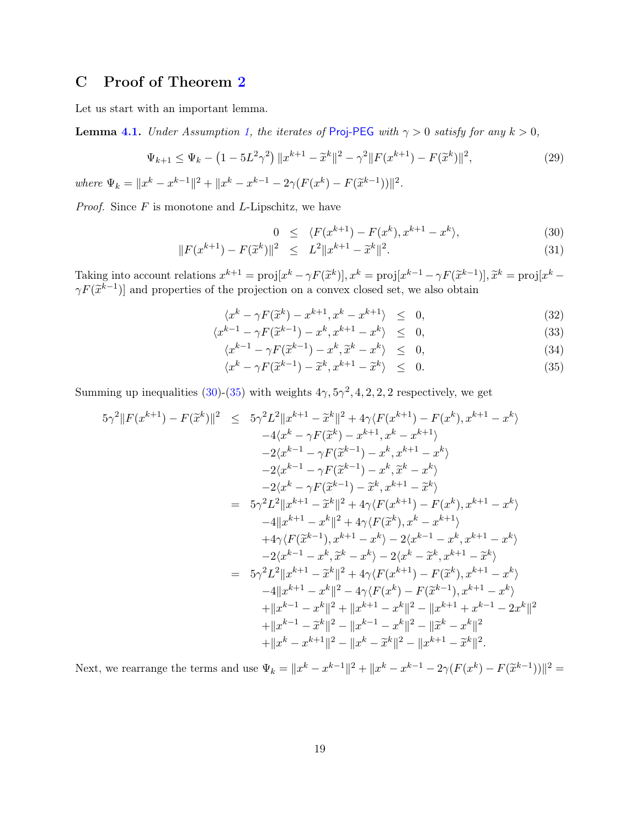# <span id="page-18-0"></span>C Proof of Theorem [2](#page-10-1)

Let us start with an important lemma.

**Lemma [4.1.](#page-10-3)** Under Assumption [1,](#page-1-2) the iterates of [Proj-PEG](#page-1-0) with  $\gamma > 0$  satisfy for any  $k > 0$ ,

<span id="page-18-3"></span>
$$
\Psi_{k+1} \le \Psi_k - \left(1 - 5L^2 \gamma^2\right) \|x^{k+1} - \tilde{x}^k\|^2 - \gamma^2 \|F(x^{k+1}) - F(\tilde{x}^k)\|^2,\tag{29}
$$

where  $\Psi_k = ||x^k - x^{k-1}||^2 + ||x^k - x^{k-1} - 2\gamma(F(x^k) - F(\tilde{x}^{k-1}))||^2$ .

*Proof.* Since  $F$  is monotone and  $L$ -Lipschitz, we have

<span id="page-18-1"></span>
$$
0 \leq \langle F(x^{k+1}) - F(x^k), x^{k+1} - x^k \rangle, \tag{30}
$$

$$
||F(x^{k+1}) - F(\tilde{x}^k)||^2 \le L^2 ||x^{k+1} - \tilde{x}^k||^2.
$$
\n(31)

Taking into account relations  $x^{k+1} = \text{proj}[x^k - \gamma F(\tilde{x}^k)], x^k = \text{proj}[x^{k-1} - \gamma F(\tilde{x}^{k-1})], \tilde{x}^k = \text{proj}[x^k - \gamma F(\tilde{x}^{k-1})]$  and properties of the projection on a convex closed set we also obtain  $\gamma F(\tilde{x}^{k-1})$ ] and properties of the projection on a convex closed set, we also obtain

<span id="page-18-2"></span>
$$
\langle x^{k} - \gamma F(\tilde{x}^{k}) - x^{k+1}, x^{k} - x^{k+1} \rangle \leq 0,
$$
\n
$$
\langle x^{k} - \gamma F(\tilde{x}^{k}) - x^{k+1}, x^{k} - x^{k+1} \rangle \leq 0,
$$
\n
$$
(32)
$$

$$
\langle x^{k-1} - \gamma F(\tilde{x}^{k-1}) - x^k, x^{k+1} - x^k \rangle \leq 0,
$$
\n
$$
\langle x^{k-1} - \gamma F(\tilde{x}^{k-1}) - x^k, x^{k+1} - x^k \rangle \leq 0,
$$
\n
$$
(33)
$$

$$
\langle x^{k-1} - \gamma F(\tilde{x}^{k-1}) - x^k, \tilde{x}^k - x^k \rangle \leq 0, \tag{34}
$$

$$
\langle x^k - \gamma F(\tilde{x}^{k-1}) - \tilde{x}^k, x^{k+1} - \tilde{x}^k \rangle \leq 0.
$$
 (35)

Summing up inequalities [\(30\)](#page-18-1)-[\(35\)](#page-18-2) with weights  $4\gamma$ ,  $5\gamma^2$ , 4, 2, 2, 2 respectively, we get

$$
5\gamma^{2}||F(x^{k+1}) - F(\tilde{x}^{k})||^{2} \leq 5\gamma^{2}L^{2}||x^{k+1} - \tilde{x}^{k}||^{2} + 4\gamma\langle F(x^{k+1}) - F(x^{k}), x^{k+1} - x^{k}\rangle
$$
  
\n
$$
-4\langle x^{k} - \gamma F(\tilde{x}^{k}) - x^{k+1}, x^{k} - x^{k+1}\rangle
$$
  
\n
$$
-2\langle x^{k-1} - \gamma F(\tilde{x}^{k-1}) - x^{k}, \tilde{x}^{k} - x^{k}\rangle
$$
  
\n
$$
-2\langle x^{k} - \gamma F(\tilde{x}^{k-1}) - \tilde{x}^{k}, x^{k+1} - \tilde{x}^{k}\rangle
$$
  
\n
$$
= 5\gamma^{2}L^{2}||x^{k+1} - \tilde{x}^{k}||^{2} + 4\gamma\langle F(x^{k+1}) - F(x^{k}), x^{k+1} - x^{k}\rangle
$$
  
\n
$$
-4||x^{k+1} - x^{k}||^{2} + 4\gamma\langle F(\tilde{x}^{k}), x^{k} - x^{k+1}\rangle
$$
  
\n
$$
+4\gamma\langle F(\tilde{x}^{k-1}), x^{k+1} - x^{k}\rangle - 2\langle x^{k-1} - x^{k}, x^{k+1} - x^{k}\rangle
$$
  
\n
$$
-2\langle x^{k-1} - x^{k}, \tilde{x}^{k} - x^{k}\rangle - 2\langle x^{k} - \tilde{x}^{k}, x^{k+1} - \tilde{x}^{k}\rangle
$$
  
\n
$$
= 5\gamma^{2}L^{2}||x^{k+1} - \tilde{x}^{k}||^{2} + 4\gamma\langle F(x^{k+1}) - F(\tilde{x}^{k}), x^{k+1} - x^{k}\rangle
$$
  
\n
$$
-4||x^{k+1} - x^{k}||^{2} + 4\gamma\langle F(x^{k+1}) - F(\tilde{x}^{k}), x^{k+1} - x^{k}\rangle
$$
  
\n
$$
+||x^{k-1} - x^{k}||^{2} + ||x^{k+1} - x^{k}||^{2} - ||x^{k+1} + x^{k-1} - 2x^{k}||^{2}
$$
  
\

Next, we rearrange the terms and use  $\Psi_k = \|x^k - x^{k-1}\|^2 + \|x^k - x^{k-1} - 2\gamma(F(x^k) - F(\tilde{x}^{k-1}))\|^2 =$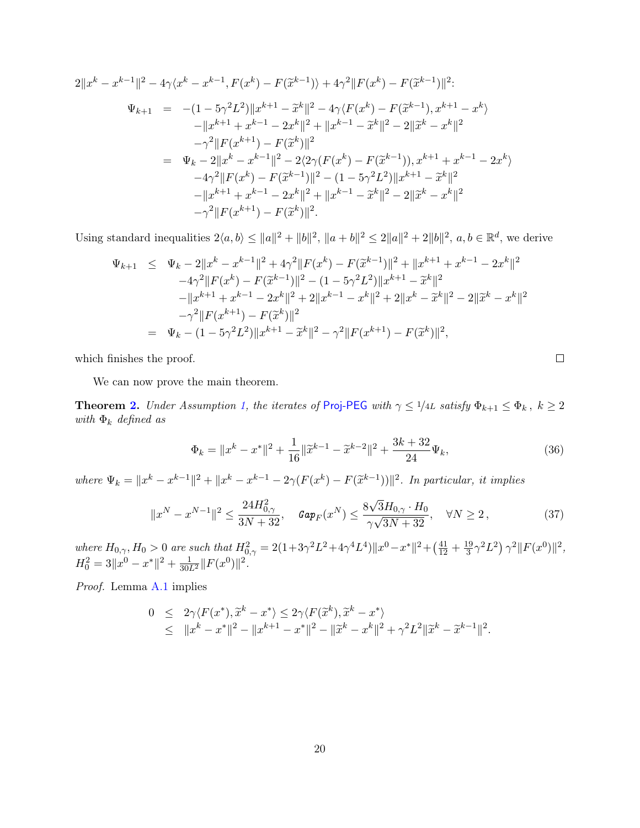$$
2||x^{k} - x^{k-1}||^{2} - 4\gamma \langle x^{k} - x^{k-1}, F(x^{k}) - F(\tilde{x}^{k-1}) \rangle + 4\gamma^{2} ||F(x^{k}) - F(\tilde{x}^{k-1})||^{2};
$$
\n
$$
\Psi_{k+1} = -(1 - 5\gamma^{2} L^{2})||x^{k+1} - \tilde{x}^{k}||^{2} - 4\gamma \langle F(x^{k}) - F(\tilde{x}^{k-1}), x^{k+1} - x^{k} \rangle
$$
\n
$$
-||x^{k+1} + x^{k-1} - 2x^{k}||^{2} + ||x^{k-1} - \tilde{x}^{k}||^{2} - 2||\tilde{x}^{k} - x^{k}||^{2}
$$
\n
$$
- \gamma^{2} ||F(x^{k+1}) - F(\tilde{x}^{k})||^{2}
$$
\n
$$
= \Psi_{k} - 2||x^{k} - x^{k-1}||^{2} - 2\langle 2\gamma (F(x^{k}) - F(\tilde{x}^{k-1})), x^{k+1} + x^{k-1} - 2x^{k} \rangle
$$
\n
$$
-4\gamma^{2} ||F(x^{k}) - F(\tilde{x}^{k-1})||^{2} - (1 - 5\gamma^{2} L^{2})||x^{k+1} - \tilde{x}^{k}||^{2}
$$
\n
$$
-||x^{k+1} + x^{k-1} - 2x^{k}||^{2} + ||x^{k-1} - \tilde{x}^{k}||^{2} - 2||\tilde{x}^{k} - x^{k}||^{2}
$$
\n
$$
- \gamma^{2} ||F(x^{k+1}) - F(\tilde{x}^{k})||^{2}.
$$

Using standard inequalities  $2\langle a, b \rangle \le ||a||^2 + ||b||^2$ ,  $||a + b||^2 \le 2||a||^2 + 2||b||^2$ ,  $a, b \in \mathbb{R}^d$ , we derive

$$
\Psi_{k+1} \leq \Psi_k - 2\|x^k - x^{k-1}\|^2 + 4\gamma^2 \|F(x^k) - F(\tilde{x}^{k-1})\|^2 + \|x^{k+1} + x^{k-1} - 2x^k\|^2
$$
  
\n
$$
-4\gamma^2 \|F(x^k) - F(\tilde{x}^{k-1})\|^2 - (1 - 5\gamma^2 L^2) \|x^{k+1} - \tilde{x}^k\|^2
$$
  
\n
$$
- \|x^{k+1} + x^{k-1} - 2x^k\|^2 + 2\|x^{k-1} - x^k\|^2 + 2\|x^k - \tilde{x}^k\|^2 - 2\|\tilde{x}^k - x^k\|^2
$$
  
\n
$$
-\gamma^2 \|F(x^{k+1}) - F(\tilde{x}^k)\|^2
$$
  
\n
$$
= \Psi_k - (1 - 5\gamma^2 L^2) \|x^{k+1} - \tilde{x}^k\|^2 - \gamma^2 \|F(x^{k+1}) - F(\tilde{x}^k)\|^2,
$$

which finishes the proof.

We can now prove the main theorem.

**Theorem [2.](#page-10-1)** Under Assumption [1,](#page-1-2) the iterates of [Proj-PEG](#page-1-0) with  $\gamma \leq 1/4L$  satisfy  $\Phi_{k+1} \leq \Phi_k$ ,  $k \geq 2$ with  $\Phi_k$  defined as

<span id="page-19-0"></span>
$$
\Phi_k = \|x^k - x^*\|^2 + \frac{1}{16} \|\tilde{x}^{k-1} - \tilde{x}^{k-2}\|^2 + \frac{3k + 32}{24} \Psi_k,
$$
\n(36)

<span id="page-19-1"></span> $\Box$ 

where  $\Psi_k = \|x^k - x^{k-1}\|^2 + \|x^k - x^{k-1} - 2\gamma(F(x^k) - F(\tilde{x}^{k-1}))\|^2$ . In particular, it implies

$$
||x^N - x^{N-1}||^2 \le \frac{24H_{0,\gamma}^2}{3N + 32}, \quad \text{Gap}_F(x^N) \le \frac{8\sqrt{3}H_{0,\gamma} \cdot H_0}{\gamma\sqrt{3N + 32}}, \quad \forall N \ge 2, \tag{37}
$$

where  $H_{0,\gamma}$ ,  $H_0 > 0$  are such that  $H_{0,\gamma}^2 = 2(1 + 3\gamma^2 L^2 + 4\gamma^4 L^4) ||x^0 - x^*||^2 + (\frac{41}{12} + \frac{19}{3})$  $\frac{19}{3}\gamma^2 L^2$   $\gamma^2 \|F(x^0)\|^2$ ,  $H_0^2 = 3||x^0 - x^*||^2 + \frac{1}{30L^2}||F(x^0)||^2.$ 

Proof. Lemma [A.1](#page-15-2) implies

$$
0 \leq 2\gamma \langle F(x^*), \tilde{x}^k - x^* \rangle \leq 2\gamma \langle F(\tilde{x}^k), \tilde{x}^k - x^* \rangle
$$
  
 
$$
\leq ||x^k - x^*||^2 - ||x^{k+1} - x^*||^2 - ||\tilde{x}^k - x^k||^2 + \gamma^2 L^2 ||\tilde{x}^k - \tilde{x}^{k-1}||^2.
$$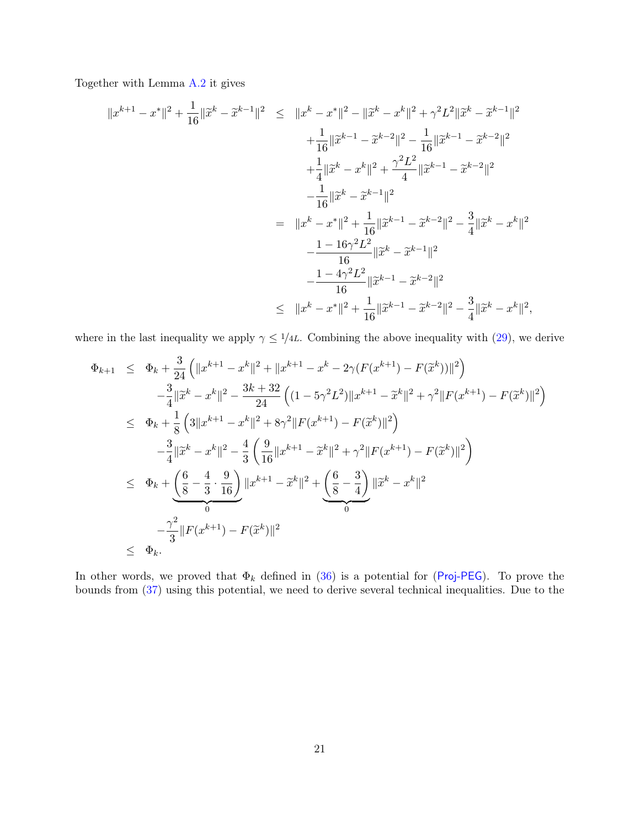Together with Lemma [A.2](#page-15-3) it gives

$$
||x^{k+1} - x^*||^2 + \frac{1}{16} ||\tilde{x}^k - \tilde{x}^{k-1}||^2 \le ||x^k - x^*||^2 - ||\tilde{x}^k - x^k||^2 + \gamma^2 L^2 ||\tilde{x}^k - \tilde{x}^{k-1}||^2 + \frac{1}{16} ||\tilde{x}^{k-1} - \tilde{x}^{k-2}||^2 - \frac{1}{16} ||\tilde{x}^{k-1} - \tilde{x}^{k-2}||^2 + \frac{1}{4} ||\tilde{x}^k - x^k||^2 + \frac{\gamma^2 L^2}{4} ||\tilde{x}^{k-1} - \tilde{x}^{k-2}||^2 - \frac{1}{16} ||\tilde{x}^k - \tilde{x}^{k-1}||^2 = ||x^k - x^*||^2 + \frac{1}{16} ||\tilde{x}^{k-1} - \tilde{x}^{k-2}||^2 - \frac{3}{4} ||\tilde{x}^k - x^k||^2 - \frac{1 - 16\gamma^2 L^2}{16} ||\tilde{x}^k - \tilde{x}^{k-1}||^2 - \frac{1 - 4\gamma^2 L^2}{16} ||\tilde{x}^{k-1} - \tilde{x}^{k-2}||^2 ||x^k - x^*||^2 + \frac{1}{16} ||\tilde{x}^{k-1} - \tilde{x}^{k-2}||^2 - \frac{3}{4} ||\tilde{x}^k - x^k||^2,
$$

where in the last inequality we apply  $\gamma \leq 1/4L$ . Combining the above inequality with [\(29\)](#page-18-3), we derive

$$
\Phi_{k+1} \leq \Phi_k + \frac{3}{24} \left( \|x^{k+1} - x^k\|^2 + \|x^{k+1} - x^k - 2\gamma (F(x^{k+1}) - F(\tilde{x}^k)) \|^2 \right) \n- \frac{3}{4} \|\tilde{x}^k - x^k\|^2 - \frac{3k+32}{24} \left( (1 - 5\gamma^2 L^2) \|x^{k+1} - \tilde{x}^k\|^2 + \gamma^2 \|F(x^{k+1}) - F(\tilde{x}^k)\|^2 \right) \n\leq \Phi_k + \frac{1}{8} \left( 3 \|x^{k+1} - x^k\|^2 + 8\gamma^2 \|F(x^{k+1}) - F(\tilde{x}^k)\|^2 \right) \n- \frac{3}{4} \|\tilde{x}^k - x^k\|^2 - \frac{4}{3} \left( \frac{9}{16} \|x^{k+1} - \tilde{x}^k\|^2 + \gamma^2 \|F(x^{k+1}) - F(\tilde{x}^k)\|^2 \right) \n\leq \Phi_k + \underbrace{\left( \frac{6}{8} - \frac{4}{3} \cdot \frac{9}{16} \right)}_{0} \|x^{k+1} - \tilde{x}^k\|^2 + \underbrace{\left( \frac{6}{8} - \frac{3}{4} \right)}_{0} \|\tilde{x}^k - x^k\|^2 \n- \frac{\gamma^2}{3} \|F(x^{k+1}) - F(\tilde{x}^k)\|^2 \n\leq \Phi_k.
$$

In other words, we proved that  $\Phi_k$  defined in [\(36\)](#page-19-0) is a potential for ([Proj-PEG](#page-1-0)). To prove the bounds from [\(37\)](#page-19-1) using this potential, we need to derive several technical inequalities. Due to the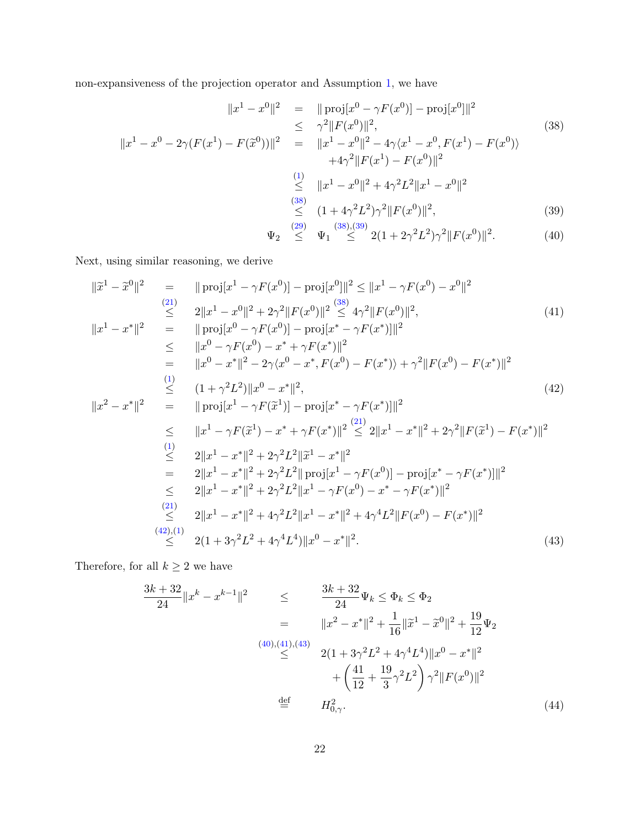non-expansiveness of the projection operator and Assumption [1,](#page-1-2) we have

<span id="page-21-0"></span>
$$
||x^1 - x^0||^2 = ||\text{proj}[x^0 - \gamma F(x^0)] - \text{proj}[x^0]||^2
$$
  
\n
$$
\leq \gamma^2 ||F(x^0)||^2,
$$
  
\n
$$
||x^1 - x^0 - 2\gamma(F(x^1) - F(\tilde{x}^0))||^2 = ||x^1 - x^0||^2 - 4\gamma\langle x^1 - x^0, F(x^1) - F(x^0) \rangle
$$
  
\n
$$
+4\gamma^2 ||F(x^1) - F(x^0)||^2
$$
  
\n
$$
\leq ||x^1 - x^0||^2 + 4\gamma^2 L^2 ||x^1 - x^0||^2
$$
  
\n
$$
\leq (1 + 4\gamma^2 L^2)\gamma^2 ||F(x^0)||^2,
$$
  
\n(39)

$$
\Psi_2 \stackrel{(29)}{\leq} \Psi_1 \stackrel{(38),(39)}{\leq} 2(1+2\gamma^2L^2)\gamma^2 \|F(x^0)\|^2.
$$
 (40)

Next, using similar reasoning, we derive

<span id="page-21-1"></span>
$$
\|\tilde{x}^{1} - \tilde{x}^{0}\|^{2} = \|\text{proj}[x^{1} - \gamma F(x^{0})] - \text{proj}[x^{0}]\|^{2} \leq \|x^{1} - \gamma F(x^{0}) - x^{0}\|^{2}
$$
\n
$$
\leq 2\|x^{1} - x^{0}\|^{2} + 2\gamma^{2}\|F(x^{0})\|^{2} \leq 4\gamma^{2}\|F(x^{0})\|^{2},
$$
\n
$$
\|x^{1} - x^{*}\|^{2} = \|\text{proj}[x^{0} - \gamma F(x^{0})] - \text{proj}[x^{*} - \gamma F(x^{*})]\|^{2}
$$
\n
$$
\leq \|x^{0} - \gamma F(x^{0}) - x^{*} + \gamma F(x^{*})\|^{2}
$$
\n
$$
= \|x^{0} - x^{*}\|^{2} - 2\gamma\langle x^{0} - x^{*}, F(x^{0}) - F(x^{*})\rangle + \gamma^{2}\|F(x^{0}) - F(x^{*})\|^{2}
$$
\n
$$
\leq (1 + \gamma^{2}L^{2})\|x^{0} - x^{*}\|^{2},
$$
\n
$$
\|x^{2} - x^{*}\|^{2} = \|\text{proj}[x^{1} - \gamma F(\tilde{x}^{1})] - \text{proj}[x^{*} - \gamma F(x^{*})]\|^{2}
$$
\n
$$
\leq \|x^{1} - \gamma F(\tilde{x}^{1}) - x^{*} + \gamma F(x^{*})\|^{2} \leq 2\|x^{1} - x^{*}\|^{2} + 2\gamma^{2}\|F(\tilde{x}^{1}) - F(x^{*})\|^{2}
$$
\n
$$
\leq 2\|x^{1} - x^{*}\|^{2} + 2\gamma^{2}L^{2}\|\tilde{x}^{1} - x^{*}\|^{2}
$$
\n
$$
= 2\|x^{1} - x^{*}\|^{2} + 2\gamma^{2}L^{2}\|\text{proj}[x^{1} - \gamma F(x^{0})] - \text{proj}[x^{*} - \gamma F(x^{*})]\|^{2}
$$
\n
$$
\leq 2\|x^{1} - x^{*}\|^{2} + 2\gamma^{2}L^{2}\|x^{1} - \gamma F(x^{0}) - x^{*} - \gamma F(x^{*})\|^{2}
$$
\n
$$
\leq 2
$$

Therefore, for all  $k\geq 2$  we have

<span id="page-21-2"></span>
$$
\frac{3k+32}{24}||x^{k}-x^{k-1}||^{2} \leq \frac{3k+32}{24}\Psi_{k} \leq \Phi_{k} \leq \Phi_{2}
$$
  
\n
$$
= ||x^{2}-x^{*}||^{2} + \frac{1}{16}||\tilde{x}^{1}-\tilde{x}^{0}||^{2} + \frac{19}{12}\Psi_{2}
$$
  
\n
$$
\leq \frac{(40)(41)(43)}{2(1+3\gamma^{2}L^{2}+4\gamma^{4}L^{4})||x^{0}-x^{*}||^{2}} + \left(\frac{41}{12}+\frac{19}{3}\gamma^{2}L^{2}\right)\gamma^{2}||F(x^{0})||^{2}
$$
  
\n
$$
\stackrel{\text{def}}{=} H_{0,\gamma}^{2}.
$$
  
\n(44)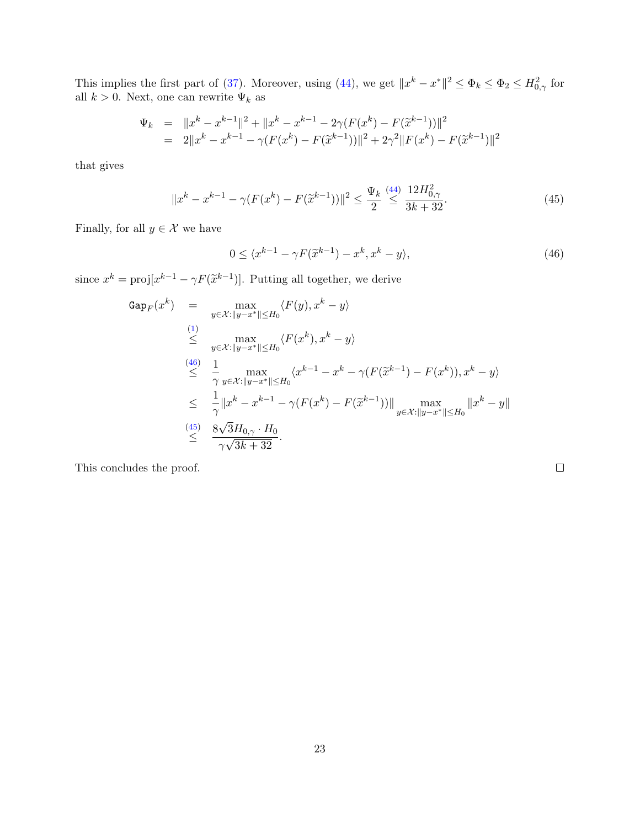This implies the first part of [\(37\)](#page-19-1). Moreover, using [\(44\)](#page-21-2), we get  $||x^k - x^*||^2 \le \Phi_k \le \Phi_2 \le H_{0,\gamma}^2$  for all  $k > 0$ . Next, one can rewrite  $\Psi_k$  as

$$
\Psi_k = ||x^k - x^{k-1}||^2 + ||x^k - x^{k-1} - 2\gamma(F(x^k) - F(\tilde{x}^{k-1}))||^2
$$
  
=  $2||x^k - x^{k-1} - \gamma(F(x^k) - F(\tilde{x}^{k-1}))||^2 + 2\gamma^2||F(x^k) - F(\tilde{x}^{k-1})||^2$ 

that gives

<span id="page-22-1"></span>
$$
||x^{k} - x^{k-1} - \gamma (F(x^{k}) - F(\tilde{x}^{k-1}))||^{2} \le \frac{\Psi_{k}}{2} \stackrel{(44)}{\le} \frac{12H_{0,\gamma}^{2}}{3k + 32}.
$$
\n(45)

Finally, for all  $y \in \mathcal{X}$  we have

<span id="page-22-0"></span>
$$
0 \le \langle x^{k-1} - \gamma F(\tilde{x}^{k-1}) - x^k, x^k - y \rangle, \tag{46}
$$

since  $x^k = \text{proj}[x^{k-1} - \gamma F(\tilde{x}^{k-1})]$ . Putting all together, we derive

$$
Gap_F(x^k) = \max_{y \in \mathcal{X}: ||y-x^*|| \leq H_0} \langle F(y), x^k - y \rangle
$$
  
\n
$$
\leq \max_{y \in \mathcal{X}: ||y-x^*|| \leq H_0} \langle F(x^k), x^k - y \rangle
$$
  
\n
$$
\leq \frac{1}{\gamma} \max_{y \in \mathcal{X}: ||y-x^*|| \leq H_0} \langle x^{k-1} - x^k - \gamma(F(\tilde{x}^{k-1}) - F(x^k)), x^k - y \rangle
$$
  
\n
$$
\leq \frac{1}{\gamma} ||x^k - x^{k-1} - \gamma(F(x^k) - F(\tilde{x}^{k-1}))|| \max_{y \in \mathcal{X}: ||y-x^*|| \leq H_0} ||x^k - y||
$$
  
\n
$$
\leq \frac{8\sqrt{3}H_{0,\gamma} \cdot H_0}{\gamma \sqrt{3k+32}}.
$$

This concludes the proof.